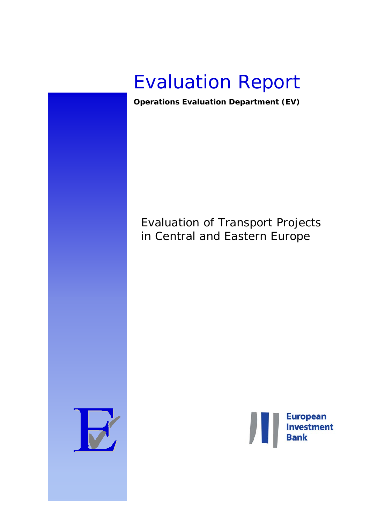

*Operations Evaluation Department (EV)* 

# Evaluation of Transport Projects in Central and Eastern Europe



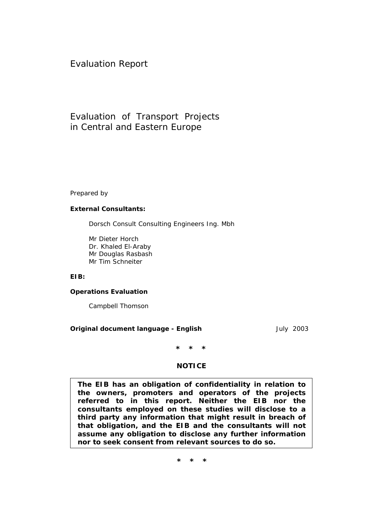Evaluation Report

# Evaluation of Transport Projects in Central and Eastern Europe

Prepared by

#### **External Consultants:**

Dorsch Consult Consulting Engineers Ing. Mbh

Mr Dieter Horch Dr. Khaled El-Araby Mr Douglas Rasbash Mr Tim Schneiter

**EIB:** 

#### **Operations Evaluation**

Campbell Thomson

#### **Original document language - English**  July 2003

**\* \* \*** 

#### **NOTICE**

**The EIB has an obligation of confidentiality in relation to the owners, promoters and operators of the projects referred to in this report. Neither the EIB nor the consultants employed on these studies will disclose to a third party any information that might result in breach of that obligation, and the EIB and the consultants will not assume any obligation to disclose any further information nor to seek consent from relevant sources to do so.** 

**\* \* \***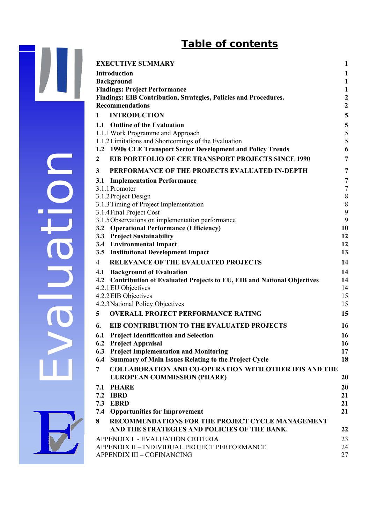# **Table of contents**

 $\mathbf{I}$ 

| <b>EXECUTIVE SUMMARY</b>                                                                   | 1                                     |
|--------------------------------------------------------------------------------------------|---------------------------------------|
| Introduction                                                                               | 1                                     |
| <b>Background</b>                                                                          | $\mathbf{1}$                          |
| <b>Findings: Project Performance</b>                                                       | 1                                     |
| Findings: EIB Contribution, Strategies, Policies and Procedures.<br><b>Recommendations</b> | 2                                     |
| <b>INTRODUCTION</b>                                                                        | $\boldsymbol{2}$                      |
| 1                                                                                          | $\overline{\mathbf{5}}$               |
| 1.1 Outline of the Evaluation<br>1.1.1 Work Programme and Approach                         | $\overline{\mathbf{5}}$<br>$\sqrt{5}$ |
| 1.1.2 Limitations and Shortcomings of the Evaluation                                       | 5                                     |
| 1.2 1990s CEE Transport Sector Development and Policy Trends                               | 6                                     |
| <b>EIB PORTFOLIO OF CEE TRANSPORT PROJECTS SINCE 1990</b><br>$\boldsymbol{2}$              | $\overline{7}$                        |
| PERFORMANCE OF THE PROJECTS EVALUATED IN-DEPTH<br>3                                        | 7                                     |
| <b>3.1 Implementation Performance</b>                                                      | 7                                     |
| 3.1.1 Promoter                                                                             | $\tau$                                |
| 3.1.2 Project Design<br>3.1.3 Timing of Project Implementation                             | $\,$ $\,$<br>$\,$ $\,$                |
| 3.1.4 Final Project Cost                                                                   | $\boldsymbol{9}$                      |
| 3.1.5 Observations on implementation performance                                           | 9                                     |
| 3.2 Operational Performance (Efficiency)                                                   | 10                                    |
| 3.3 Project Sustainability                                                                 | 12                                    |
| 3.4 Environmental Impact<br>3.5 Institutional Development Impact                           | 12<br>13                              |
| <b>RELEVANCE OF THE EVALUATED PROJECTS</b><br>4                                            | 14                                    |
| 4.1 Background of Evaluation                                                               | 14                                    |
| 4.2 Contribution of Evaluated Projects to EU, EIB and National Objectives                  | 14                                    |
| 4.2.1 EU Objectives                                                                        | 14                                    |
| 4.2.2 EIB Objectives                                                                       | 15                                    |
| 4.2.3 National Policy Objectives                                                           | 15                                    |
| <b>OVERALL PROJECT PERFORMANCE RATING</b><br>5                                             | 15                                    |
| EIB CONTRIBUTION TO THE EVALUATED PROJECTS<br>6.                                           | 16                                    |
| 6.1 Project Identification and Selection                                                   | 16                                    |
| 6.2 Project Appraisal<br>6.3 Project Implementation and Monitoring                         | 16<br>17                              |
| <b>Summary of Main Issues Relating to the Project Cycle</b><br>6.4                         | 18                                    |
| <b>COLLABORATION AND CO-OPERATION WITH OTHER IFIS AND THE</b><br>7                         |                                       |
| <b>EUROPEAN COMMISSION (PHARE)</b>                                                         | <b>20</b>                             |
| 7.1 PHARE                                                                                  | <b>20</b>                             |
| <b>7.2 IBRD</b>                                                                            | 21                                    |
| 7.3 EBRD                                                                                   | 21                                    |
| <b>7.4 Opportunities for Improvement</b>                                                   | 21                                    |
| 8<br>RECOMMENDATIONS FOR THE PROJECT CYCLE MANAGEMENT                                      |                                       |
| AND THE STRATEGIES AND POLICIES OF THE BANK.                                               | 22                                    |
| APPENDIX I - EVALUATION CRITERIA<br>APPENDIX II - INDIVIDUAL PROJECT PERFORMANCE           | 23<br>24                              |
| <b>APPENDIX III - COFINANCING</b>                                                          | 27                                    |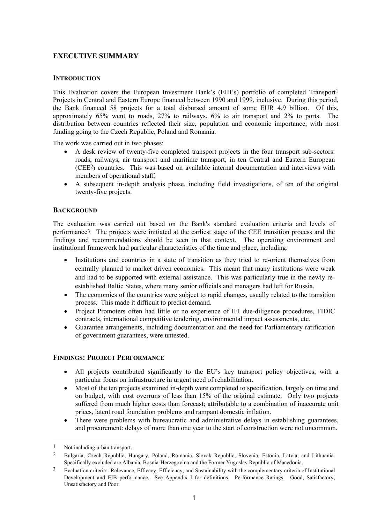# <span id="page-3-0"></span>**EXECUTIVE SUMMARY**

#### **INTRODUCTION**

This Evaluation covers the European Investment Bank's (EIB's) portfolio of completed Transpor[t1](#page-3-1) Projects in Central and Eastern Europe financed between 1990 and 1999, inclusive. During this period, the Bank financed 58 projects for a total disbursed amount of some EUR 4.9 billion. Of this, approximately 65% went to roads, 27% to railways, 6% to air transport and 2% to ports. The distribution between countries reflected their size, population and economic importance, with most funding going to the Czech Republic, Poland and Romania.

The work was carried out in two phases:

- A desk review of twenty-five completed transport projects in the four transport sub-sectors: roads, railways, air transport and maritime transport, in ten Central and Eastern European (CEE[2\)](#page-3-2) countries. This was based on available internal documentation and interviews with members of operational staff;
- A subsequent in-depth analysis phase, including field investigations, of ten of the original twenty-five projects.

#### **BACKGROUND**

The evaluation was carried out based on the Bank's standard evaluation criteria and levels of performanc[e3.](#page-3-3) The projects were initiated at the earliest stage of the CEE transition process and the findings and recommendations should be seen in that context. The operating environment and institutional framework had particular characteristics of the time and place, including:

- Institutions and countries in a state of transition as they tried to re-orient themselves from centrally planned to market driven economies. This meant that many institutions were weak and had to be supported with external assistance. This was particularly true in the newly reestablished Baltic States, where many senior officials and managers had left for Russia.
- The economies of the countries were subject to rapid changes, usually related to the transition process. This made it difficult to predict demand.
- Project Promoters often had little or no experience of IFI due-diligence procedures, FIDIC contracts, international competitive tendering, environmental impact assessments, etc.
- Guarantee arrangements, including documentation and the need for Parliamentary ratification of government guarantees, were untested.

#### **FINDINGS: PROJECT PERFORMANCE**

- All projects contributed significantly to the EU's key transport policy objectives, with a particular focus on infrastructure in urgent need of rehabilitation.
- Most of the ten projects examined in-depth were completed to specification, largely on time and on budget, with cost overruns of less than 15% of the original estimate. Only two projects suffered from much higher costs than forecast; attributable to a combination of inaccurate unit prices, latent road foundation problems and rampant domestic inflation.
- There were problems with bureaucratic and administrative delays in establishing guarantees, and procurement: delays of more than one year to the start of construction were not uncommon.

 $\overline{a}$ 

<span id="page-3-1"></span><sup>1</sup> Not including urban transport.

<span id="page-3-2"></span><sup>2</sup> Bulgaria, Czech Republic, Hungary, Poland, Romania, Slovak Republic, Slovenia, Estonia, Latvia, and Lithuania. Specifically excluded are Albania, Bosnia-Herzegovina and the Former Yugoslav Republic of Macedonia.

<span id="page-3-3"></span><sup>3</sup> Evaluation criteria: Relevance, Efficacy, Efficiency, and Sustainability with the complementary criteria of Institutional Development and EIB performance. See Appendix I for definitions. Performance Ratings: Good, Satisfactory, Unsatisfactory and Poor.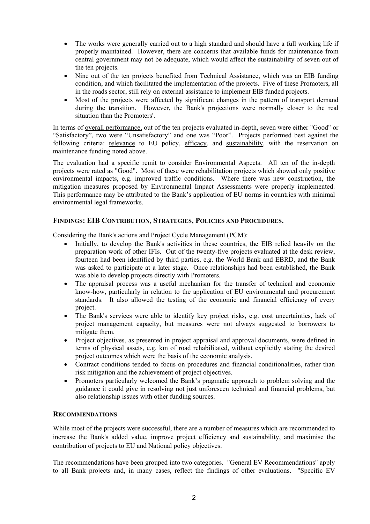- <span id="page-4-0"></span>• The works were generally carried out to a high standard and should have a full working life if properly maintained. However, there are concerns that available funds for maintenance from central government may not be adequate, which would affect the sustainability of seven out of the ten projects.
- Nine out of the ten projects benefited from Technical Assistance, which was an EIB funding condition, and which facilitated the implementation of the projects. Five of these Promoters, all in the roads sector, still rely on external assistance to implement EIB funded projects.
- Most of the projects were affected by significant changes in the pattern of transport demand during the transition. However, the Bank's projections were normally closer to the real situation than the Promoters'.

In terms of overall performance, out of the ten projects evaluated in-depth, seven were either "Good" or "Satisfactory", two were "Unsatisfactory" and one was "Poor". Projects performed best against the following criteria: relevance to EU policy, efficacy, and sustainability, with the reservation on maintenance funding noted above.

The evaluation had a specific remit to consider Environmental Aspects. All ten of the in-depth projects were rated as "Good". Most of these were rehabilitation projects which showed only positive environmental impacts, e.g. improved traffic conditions. Where there was new construction, the mitigation measures proposed by Environmental Impact Assessments were properly implemented. This performance may be attributed to the Bank's application of EU norms in countries with minimal environmental legal frameworks.

## **FINDINGS: EIB CONTRIBUTION, STRATEGIES, POLICIES AND PROCEDURES.**

Considering the Bank's actions and Project Cycle Management (PCM):

- Initially, to develop the Bank's activities in these countries, the EIB relied heavily on the preparation work of other IFIs. Out of the twenty-five projects evaluated at the desk review, fourteen had been identified by third parties, e.g. the World Bank and EBRD, and the Bank was asked to participate at a later stage. Once relationships had been established, the Bank was able to develop projects directly with Promoters.
- The appraisal process was a useful mechanism for the transfer of technical and economic know-how, particularly in relation to the application of EU environmental and procurement standards. It also allowed the testing of the economic and financial efficiency of every project.
- The Bank's services were able to identify key project risks, e.g. cost uncertainties, lack of project management capacity, but measures were not always suggested to borrowers to mitigate them.
- Project objectives, as presented in project appraisal and approval documents, were defined in terms of physical assets, e.g. km of road rehabilitated, without explicitly stating the desired project outcomes which were the basis of the economic analysis.
- Contract conditions tended to focus on procedures and financial conditionalities, rather than risk mitigation and the achievement of project objectives.
- Promoters particularly welcomed the Bank's pragmatic approach to problem solving and the guidance it could give in resolving not just unforeseen technical and financial problems, but also relationship issues with other funding sources.

#### **RECOMMENDATIONS**

While most of the projects were successful, there are a number of measures which are recommended to increase the Bank's added value, improve project efficiency and sustainability, and maximise the contribution of projects to EU and National policy objectives.

The recommendations have been grouped into two categories. "General EV Recommendations" apply to all Bank projects and, in many cases, reflect the findings of other evaluations. "Specific EV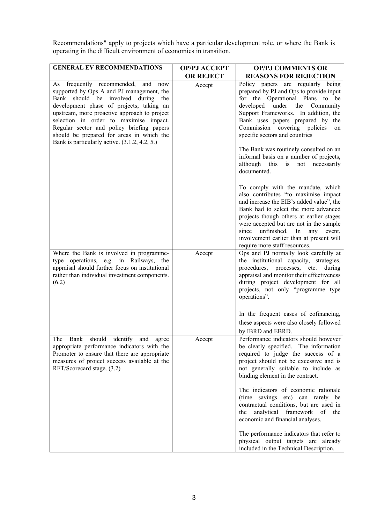Recommendations" apply to projects which have a particular development role, or where the Bank is operating in the difficult environment of economies in transition.

| <b>GENERAL EV RECOMMENDATIONS</b>                                                                                                                                                                                                                                                                                                                                                                              | <b>OP/PJ ACCEPT</b> | <b>OP/PJ COMMENTS OR</b>                                                                                                                                                                                                                                                                                                                                                                                                                                                                                                             |
|----------------------------------------------------------------------------------------------------------------------------------------------------------------------------------------------------------------------------------------------------------------------------------------------------------------------------------------------------------------------------------------------------------------|---------------------|--------------------------------------------------------------------------------------------------------------------------------------------------------------------------------------------------------------------------------------------------------------------------------------------------------------------------------------------------------------------------------------------------------------------------------------------------------------------------------------------------------------------------------------|
|                                                                                                                                                                                                                                                                                                                                                                                                                | <b>OR REJECT</b>    | <b>REASONS FOR REJECTION</b>                                                                                                                                                                                                                                                                                                                                                                                                                                                                                                         |
| As frequently recommended, and now<br>supported by Ops A and PJ management, the<br>should be involved during<br>Bank<br>the<br>development phase of projects; taking an<br>upstream, more proactive approach to project<br>selection in order to maximise impact.<br>Regular sector and policy briefing papers<br>should be prepared for areas in which the<br>Bank is particularly active. $(3.1.2, 4.2, 5.)$ | Accept              | Policy papers are regularly being<br>prepared by PJ and Ops to provide input<br>for the Operational Plans to be<br>developed<br>under<br>the<br>Community<br>Support Frameworks. In addition, the<br>Bank uses papers prepared by the<br>Commission covering policies<br>on<br>specific sectors and countries<br>The Bank was routinely consulted on an<br>informal basis on a number of projects,<br>although<br>not necessarily<br>this<br>is<br>documented.                                                                       |
|                                                                                                                                                                                                                                                                                                                                                                                                                |                     | To comply with the mandate, which<br>also contributes "to maximise impact<br>and increase the EIB's added value", the<br>Bank had to select the more advanced<br>projects though others at earlier stages<br>were accepted but are not in the sample<br>unfinished.<br>since<br>In<br>any event,<br>involvement earlier than at present will<br>require more staff resources.                                                                                                                                                        |
| Where the Bank is involved in programme-<br>type operations, e.g. in Railways, the<br>appraisal should further focus on institutional<br>rather than individual investment components.<br>(6.2)                                                                                                                                                                                                                | Accept              | Ops and PJ normally look carefully at<br>the institutional capacity, strategies,<br>procedures, processes, etc.<br>during<br>appraisal and monitor their effectiveness<br>during project development for all<br>projects, not only "programme type<br>operations".<br>In the frequent cases of cofinancing,                                                                                                                                                                                                                          |
|                                                                                                                                                                                                                                                                                                                                                                                                                |                     | these aspects were also closely followed<br>by IBRD and EBRD.                                                                                                                                                                                                                                                                                                                                                                                                                                                                        |
| should<br>identify<br>The<br>Bank<br>and<br>agree<br>appropriate performance indicators with the<br>Promoter to ensure that there are appropriate<br>measures of project success available at the<br>RFT/Scorecard stage. (3.2)                                                                                                                                                                                | Accept              | Performance indicators should however<br>be clearly specified. The information<br>required to judge the success of a<br>project should not be excessive and is<br>not generally suitable to include as<br>binding element in the contract.<br>The indicators of economic rationale<br>(time savings etc) can rarely be<br>contractual conditions, but are used in<br>analytical<br>framework<br>the<br>of the<br>economic and financial analyses.<br>The performance indicators that refer to<br>physical output targets are already |
|                                                                                                                                                                                                                                                                                                                                                                                                                |                     | included in the Technical Description.                                                                                                                                                                                                                                                                                                                                                                                                                                                                                               |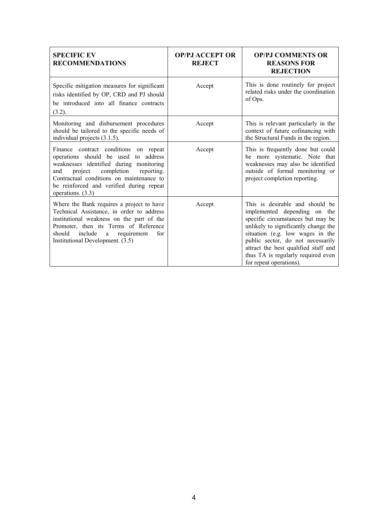| <b>SPECIFIC EV</b><br><b>RECOMMENDATIONS</b>                                                                                                                                                                                                                                        | <b>OP/PJ ACCEPT OR</b><br><b>REJECT</b> | <b>OP/PJ COMMENTS OR</b><br><b>REASONS FOR</b><br><b>REJECTION</b>                                                                                                                                                                                                                                                             |
|-------------------------------------------------------------------------------------------------------------------------------------------------------------------------------------------------------------------------------------------------------------------------------------|-----------------------------------------|--------------------------------------------------------------------------------------------------------------------------------------------------------------------------------------------------------------------------------------------------------------------------------------------------------------------------------|
| Specific mitigation measures for significant<br>risks identified by OP, CRD and PJ should<br>be introduced into all finance contracts<br>(3.2).                                                                                                                                     | Accept                                  | This is done routinely for project<br>related risks under the coordination<br>of Ops.                                                                                                                                                                                                                                          |
| Monitoring and disbursement procedures<br>should be tailored to the specific needs of<br>individual projects (3.1.5).                                                                                                                                                               | Accept                                  | This is relevant particularly in the<br>context of future cofinancing with<br>the Structural Funds in the region.                                                                                                                                                                                                              |
| Finance contract conditions on repeat<br>operations should be used to address<br>weaknesses identified during monitoring<br>completion<br>project<br>reporting.<br>and<br>Contractual conditions on maintenance to<br>be reinforced and verified during repeat<br>operations. (3.3) | Accept                                  | This is frequently done but could<br>be more systematic. Note that<br>weaknesses may also be identified<br>outside of formal monitoring or<br>project completion reporting.                                                                                                                                                    |
| Where the Bank requires a project to have<br>Technical Assistance, in order to address<br>institutional weakness on the part of the<br>Promoter, then its Terms of Reference<br>include<br>should<br>a requirement<br>for<br>Institutional Development. (3.5)                       | Accept                                  | This is desirable and should be<br>implemented depending on the<br>specific circumstances but may be<br>unlikely to significantly change the<br>situation (e.g. low wages in the<br>public sector, do not necessarily<br>attract the best qualified staff and<br>thus TA is regularly required even<br>for repeat operations). |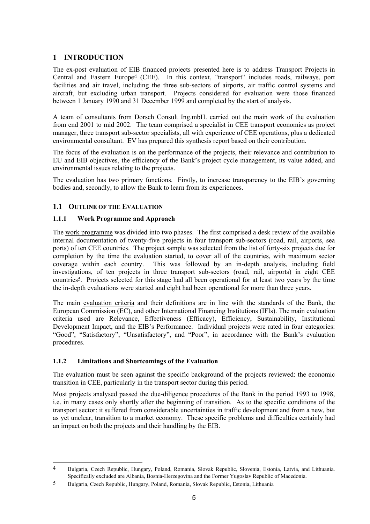# <span id="page-7-0"></span>**1 INTRODUCTION**

The ex-post evaluation of EIB financed projects presented here is to address Transport Projects in Central and Eastern Europ[e4](#page-7-1) (CEE). In this context, "transport" includes roads, railways, port facilities and air travel, including the three sub-sectors of airports, air traffic control systems and aircraft, but excluding urban transport. Projects considered for evaluation were those financed between 1 January 1990 and 31 December 1999 and completed by the start of analysis.

A team of consultants from Dorsch Consult Ing.mbH. carried out the main work of the evaluation from end 2001 to mid 2002. The team comprised a specialist in CEE transport economics as project manager, three transport sub-sector specialists, all with experience of CEE operations, plus a dedicated environmental consultant. EV has prepared this synthesis report based on their contribution.

The focus of the evaluation is on the performance of the projects, their relevance and contribution to EU and EIB objectives, the efficiency of the Bank's project cycle management, its value added, and environmental issues relating to the projects.

The evaluation has two primary functions. Firstly, to increase transparency to the EIB's governing bodies and, secondly, to allow the Bank to learn from its experiences.

## **1.1 OUTLINE OF THE EVALUATION**

#### **1.1.1 Work Programme and Approach**

The work programme was divided into two phases. The first comprised a desk review of the available internal documentation of twenty-five projects in four transport sub-sectors (road, rail, airports, sea ports) of ten CEE countries. The project sample was selected from the list of forty-six projects due for completion by the time the evaluation started, to cover all of the countries, with maximum sector coverage within each country. This was followed by an in-depth analysis, including field investigations, of ten projects in three transport sub-sectors (road, rail, airports) in eight CEE countrie[s5.](#page-7-2) Projects selected for this stage had all been operational for at least two years by the time the in-depth evaluations were started and eight had been operational for more than three years.

The main evaluation criteria and their definitions are in line with the standards of the Bank, the European Commission (EC), and other International Financing Institutions (IFIs). The main evaluation criteria used are Relevance, Effectiveness (Efficacy), Efficiency, Sustainability, Institutional Development Impact, and the EIB's Performance. Individual projects were rated in four categories: "Good", "Satisfactory", "Unsatisfactory", and "Poor", in accordance with the Bank's evaluation procedures.

# **1.1.2 Limitations and Shortcomings of the Evaluation**

The evaluation must be seen against the specific background of the projects reviewed: the economic transition in CEE, particularly in the transport sector during this period.

Most projects analysed passed the due-diligence procedures of the Bank in the period 1993 to 1998, i.e. in many cases only shortly after the beginning of transition. As to the specific conditions of the transport sector: it suffered from considerable uncertainties in traffic development and from a new, but as yet unclear, transition to a market economy. These specific problems and difficulties certainly had an impact on both the projects and their handling by the EIB.

<span id="page-7-1"></span> $\overline{4}$ 4 Bulgaria, Czech Republic, Hungary, Poland, Romania, Slovak Republic, Slovenia, Estonia, Latvia, and Lithuania. Specifically excluded are Albania, Bosnia-Herzegovina and the Former Yugoslav Republic of Macedonia.

<span id="page-7-2"></span><sup>5</sup> Bulgaria, Czech Republic, Hungary, Poland, Romania, Slovak Republic, Estonia, Lithuania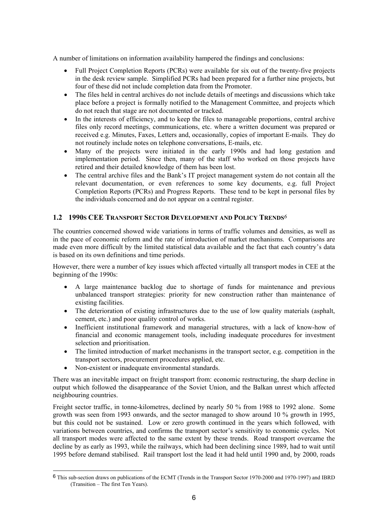<span id="page-8-0"></span>A number of limitations on information availability hampered the findings and conclusions:

- Full Project Completion Reports (PCRs) were available for six out of the twenty-five projects in the desk review sample. Simplified PCRs had been prepared for a further nine projects, but four of these did not include completion data from the Promoter.
- The files held in central archives do not include details of meetings and discussions which take place before a project is formally notified to the Management Committee, and projects which do not reach that stage are not documented or tracked.
- In the interests of efficiency, and to keep the files to manageable proportions, central archive files only record meetings, communications, etc. where a written document was prepared or received e.g. Minutes, Faxes, Letters and, occasionally, copies of important E-mails. They do not routinely include notes on telephone conversations, E-mails, etc.
- Many of the projects were initiated in the early 1990s and had long gestation and implementation period. Since then, many of the staff who worked on those projects have retired and their detailed knowledge of them has been lost.
- The central archive files and the Bank's IT project management system do not contain all the relevant documentation, or even references to some key documents, e.g. full Project Completion Reports (PCRs) and Progress Reports. These tend to be kept in personal files by the individuals concerned and do not appear on a central register.

## **1.2 1990S CEE TRANSPORT SECTOR DEVELOPMENT AND POLICY TRENDS***[6](#page-8-1)*

The countries concerned showed wide variations in terms of traffic volumes and densities, as well as in the pace of economic reform and the rate of introduction of market mechanisms. Comparisons are made even more difficult by the limited statistical data available and the fact that each country's data is based on its own definitions and time periods.

However, there were a number of key issues which affected virtually all transport modes in CEE at the beginning of the 1990s:

- A large maintenance backlog due to shortage of funds for maintenance and previous unbalanced transport strategies: priority for new construction rather than maintenance of existing facilities.
- The deterioration of existing infrastructures due to the use of low quality materials (asphalt, cement, etc.) and poor quality control of works.
- Inefficient institutional framework and managerial structures, with a lack of know-how of financial and economic management tools, including inadequate procedures for investment selection and prioritisation.
- The limited introduction of market mechanisms in the transport sector, e.g. competition in the transport sectors, procurement procedures applied, etc.
- Non-existent or inadequate environmental standards.

 $\overline{a}$ 

There was an inevitable impact on freight transport from: economic restructuring, the sharp decline in output which followed the disappearance of the Soviet Union, and the Balkan unrest which affected neighbouring countries.

Freight sector traffic, in tonne-kilometres, declined by nearly 50 % from 1988 to 1992 alone. Some growth was seen from 1993 onwards, and the sector managed to show around 10 % growth in 1995, but this could not be sustained. Low or zero growth continued in the years which followed, with variations between countries, and confirms the transport sector's sensitivity to economic cycles. Not all transport modes were affected to the same extent by these trends. Road transport overcame the decline by as early as 1993, while the railways, which had been declining since 1989, had to wait until 1995 before demand stabilised. Rail transport lost the lead it had held until 1990 and, by 2000, roads

<span id="page-8-1"></span><sup>6</sup> This sub-section draws on publications of the ECMT (Trends in the Transport Sector 1970-2000 and 1970-1997) and IBRD (Transition – The first Ten Years).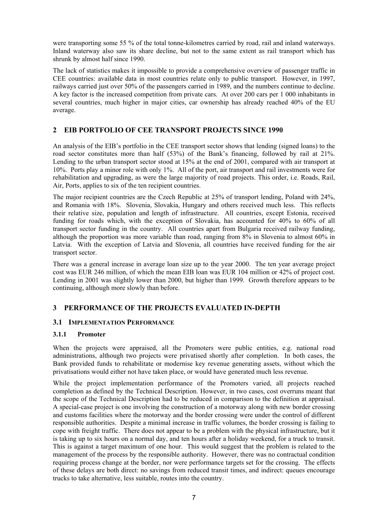<span id="page-9-0"></span>were transporting some 55 % of the total tonne-kilometres carried by road, rail and inland waterways. Inland waterway also saw its share decline, but not to the same extent as rail transport which has shrunk by almost half since 1990.

The lack of statistics makes it impossible to provide a comprehensive overview of passenger traffic in CEE countries: available data in most countries relate only to public transport. However, in 1997, railways carried just over 50% of the passengers carried in 1989, and the numbers continue to decline. A key factor is the increased competition from private cars. At over 200 cars per 1 000 inhabitants in several countries, much higher in major cities, car ownership has already reached 40% of the EU average.

## **2 EIB PORTFOLIO OF CEE TRANSPORT PROJECTS SINCE 1990**

An analysis of the EIB's portfolio in the CEE transport sector shows that lending (signed loans) to the road sector constitutes more than half (53%) of the Bank's financing, followed by rail at 21%. Lending to the urban transport sector stood at 15% at the end of 2001, compared with air transport at 10%. Ports play a minor role with only 1%. All of the port, air transport and rail investments were for rehabilitation and upgrading, as were the large majority of road projects. This order, i.e. Roads, Rail, Air, Ports, applies to six of the ten recipient countries.

The major recipient countries are the Czech Republic at 25% of transport lending, Poland with 24%, and Romania with 18%. Slovenia, Slovakia, Hungary and others received much less. This reflects their relative size, population and length of infrastructure. All countries, except Estonia, received funding for roads which, with the exception of Slovakia, has accounted for 40% to 60% of all transport sector funding in the country. All countries apart from Bulgaria received railway funding, although the proportion was more variable than road, ranging from 8% in Slovenia to almost 60% in Latvia. With the exception of Latvia and Slovenia, all countries have received funding for the air transport sector.

There was a general increase in average loan size up to the year 2000. The ten year average project cost was EUR 246 million, of which the mean EIB loan was EUR 104 million or 42% of project cost. Lending in 2001 was slightly lower than 2000, but higher than 1999. Growth therefore appears to be continuing, although more slowly than before.

# **3 PERFORMANCE OF THE PROJECTS EVALUATED IN-DEPTH**

#### **3.1 IMPLEMENTATION PERFORMANCE**

#### **3.1.1 Promoter**

When the projects were appraised, all the Promoters were public entities, e.g. national road administrations, although two projects were privatised shortly after completion. In both cases, the Bank provided funds to rehabilitate or modernise key revenue generating assets, without which the privatisations would either not have taken place, or would have generated much less revenue.

While the project implementation performance of the Promoters varied, all projects reached completion as defined by the Technical Description. However, in two cases, cost overruns meant that the scope of the Technical Description had to be reduced in comparison to the definition at appraisal. A special-case project is one involving the construction of a motorway along with new border crossing and customs facilities where the motorway and the border crossing were under the control of different responsible authorities. Despite a minimal increase in traffic volumes, the border crossing is failing to cope with freight traffic. There does not appear to be a problem with the physical infrastructure, but it is taking up to six hours on a normal day, and ten hours after a holiday weekend, for a truck to transit. This is against a target maximum of one hour. This would suggest that the problem is related to the management of the process by the responsible authority. However, there was no contractual condition requiring process change at the border, nor were performance targets set for the crossing. The effects of these delays are both direct: no savings from reduced transit times, and indirect: queues encourage trucks to take alternative, less suitable, routes into the country.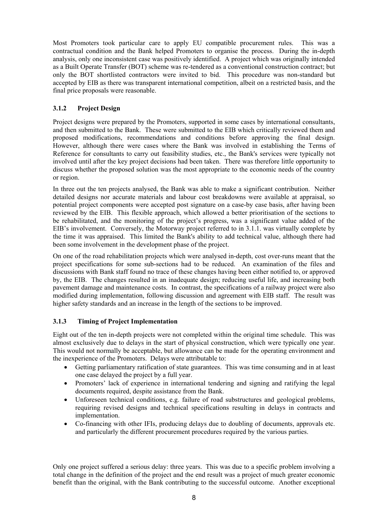<span id="page-10-0"></span>Most Promoters took particular care to apply EU compatible procurement rules. This was a contractual condition and the Bank helped Promoters to organise the process. During the in-depth analysis, only one inconsistent case was positively identified. A project which was originally intended as a Built Operate Transfer (BOT) scheme was re-tendered as a conventional construction contract; but only the BOT shortlisted contractors were invited to bid. This procedure was non-standard but accepted by EIB as there was transparent international competition, albeit on a restricted basis, and the final price proposals were reasonable.

## **3.1.2 Project Design**

Project designs were prepared by the Promoters, supported in some cases by international consultants, and then submitted to the Bank. These were submitted to the EIB which critically reviewed them and proposed modifications, recommendations and conditions before approving the final design. However, although there were cases where the Bank was involved in establishing the Terms of Reference for consultants to carry out feasibility studies, etc., the Bank's services were typically not involved until after the key project decisions had been taken. There was therefore little opportunity to discuss whether the proposed solution was the most appropriate to the economic needs of the country or region.

In three out the ten projects analysed, the Bank was able to make a significant contribution. Neither detailed designs nor accurate materials and labour cost breakdowns were available at appraisal, so potential project components were accepted post signature on a case-by case basis, after having been reviewed by the EIB. This flexible approach, which allowed a better prioritisation of the sections to be rehabilitated, and the monitoring of the project's progress, was a significant value added of the EIB's involvement. Conversely, the Motorway project referred to in 3.1.1. was virtually complete by the time it was appraised. This limited the Bank's ability to add technical value, although there had been some involvement in the development phase of the project.

On one of the road rehabilitation projects which were analysed in-depth, cost over-runs meant that the project specifications for some sub-sections had to be reduced. An examination of the files and discussions with Bank staff found no trace of these changes having been either notified to, or approved by, the EIB. The changes resulted in an inadequate design; reducing useful life, and increasing both pavement damage and maintenance costs. In contrast, the specifications of a railway project were also modified during implementation, following discussion and agreement with EIB staff. The result was higher safety standards and an increase in the length of the sections to be improved.

#### **3.1.3 Timing of Project Implementation**

Eight out of the ten in-depth projects were not completed within the original time schedule. This was almost exclusively due to delays in the start of physical construction, which were typically one year. This would not normally be acceptable, but allowance can be made for the operating environment and the inexperience of the Promoters. Delays were attributable to:

- Getting parliamentary ratification of state guarantees. This was time consuming and in at least one case delayed the project by a full year.
- Promoters' lack of experience in international tendering and signing and ratifying the legal documents required, despite assistance from the Bank.
- Unforeseen technical conditions, e.g. failure of road substructures and geological problems, requiring revised designs and technical specifications resulting in delays in contracts and implementation.
- Co-financing with other IFIs, producing delays due to doubling of documents, approvals etc. and particularly the different procurement procedures required by the various parties.

Only one project suffered a serious delay: three years. This was due to a specific problem involving a total change in the definition of the project and the end result was a project of much greater economic benefit than the original, with the Bank contributing to the successful outcome. Another exceptional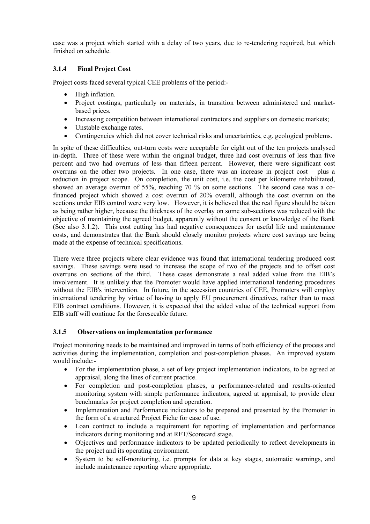<span id="page-11-0"></span>case was a project which started with a delay of two years, due to re-tendering required, but which finished on schedule.

## **3.1.4 Final Project Cost**

Project costs faced several typical CEE problems of the period:-

- High inflation.
- Project costings, particularly on materials, in transition between administered and marketbased prices.
- Increasing competition between international contractors and suppliers on domestic markets;
- Unstable exchange rates.
- Contingencies which did not cover technical risks and uncertainties, e.g. geological problems.

In spite of these difficulties, out-turn costs were acceptable for eight out of the ten projects analysed in-depth. Three of these were within the original budget, three had cost overruns of less than five percent and two had overruns of less than fifteen percent. However, there were significant cost overruns on the other two projects. In one case, there was an increase in project cost – plus a reduction in project scope. On completion, the unit cost, i.e. the cost per kilometre rehabilitated, showed an average overrun of 55%, reaching 70 % on some sections. The second case was a cofinanced project which showed a cost overrun of 20% overall, although the cost overrun on the sections under EIB control were very low. However, it is believed that the real figure should be taken as being rather higher, because the thickness of the overlay on some sub-sections was reduced with the objective of maintaining the agreed budget, apparently without the consent or knowledge of the Bank (See also 3.1.2). This cost cutting has had negative consequences for useful life and maintenance costs, and demonstrates that the Bank should closely monitor projects where cost savings are being made at the expense of technical specifications.

There were three projects where clear evidence was found that international tendering produced cost savings. These savings were used to increase the scope of two of the projects and to offset cost overruns on sections of the third. These cases demonstrate a real added value from the EIB's involvement. It is unlikely that the Promoter would have applied international tendering procedures without the EIB's intervention. In future, in the accession countries of CEE, Promoters will employ international tendering by virtue of having to apply EU procurement directives, rather than to meet EIB contract conditions. However, it is expected that the added value of the technical support from EIB staff will continue for the foreseeable future.

#### **3.1.5 Observations on implementation performance**

Project monitoring needs to be maintained and improved in terms of both efficiency of the process and activities during the implementation, completion and post-completion phases. An improved system would include:-

- For the implementation phase, a set of key project implementation indicators, to be agreed at appraisal, along the lines of current practice.
- For completion and post-completion phases, a performance-related and results-oriented monitoring system with simple performance indicators, agreed at appraisal, to provide clear benchmarks for project completion and operation.
- Implementation and Performance indicators to be prepared and presented by the Promoter in the form of a structured Project Fiche for ease of use.
- Loan contract to include a requirement for reporting of implementation and performance indicators during monitoring and at RFT/Scorecard stage.
- Objectives and performance indicators to be updated periodically to reflect developments in the project and its operating environment.
- System to be self-monitoring, i.e. prompts for data at key stages, automatic warnings, and include maintenance reporting where appropriate.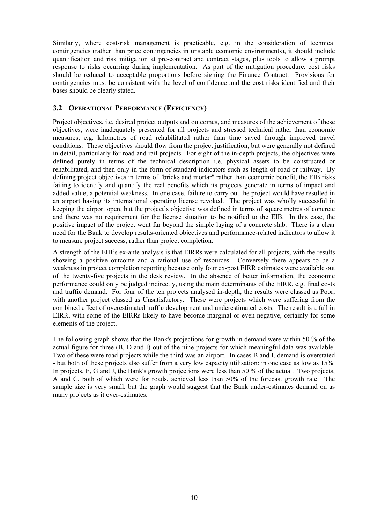<span id="page-12-0"></span>Similarly, where cost-risk management is practicable, e.g. in the consideration of technical contingencies (rather than price contingencies in unstable economic environments), it should include quantification and risk mitigation at pre-contract and contract stages, plus tools to allow a prompt response to risks occurring during implementation. As part of the mitigation procedure, cost risks should be reduced to acceptable proportions before signing the Finance Contract. Provisions for contingencies must be consistent with the level of confidence and the cost risks identified and their bases should be clearly stated.

#### **3.2 OPERATIONAL PERFORMANCE (EFFICIENCY)**

Project objectives, i.e. desired project outputs and outcomes, and measures of the achievement of these objectives, were inadequately presented for all projects and stressed technical rather than economic measures, e.g. kilometres of road rehabilitated rather than time saved through improved travel conditions. These objectives should flow from the project justification, but were generally not defined in detail, particularly for road and rail projects. For eight of the in-depth projects, the objectives were defined purely in terms of the technical description i.e. physical assets to be constructed or rehabilitated, and then only in the form of standard indicators such as length of road or railway. By defining project objectives in terms of "bricks and mortar" rather than economic benefit, the EIB risks failing to identify and quantify the real benefits which its projects generate in terms of impact and added value; a potential weakness. In one case, failure to carry out the project would have resulted in an airport having its international operating license revoked. The project was wholly successful in keeping the airport open, but the project's objective was defined in terms of square metres of concrete and there was no requirement for the license situation to be notified to the EIB. In this case, the positive impact of the project went far beyond the simple laying of a concrete slab. There is a clear need for the Bank to develop results-oriented objectives and performance-related indicators to allow it to measure project success, rather than project completion.

A strength of the EIB's ex-ante analysis is that EIRRs were calculated for all projects, with the results showing a positive outcome and a rational use of resources. Conversely there appears to be a weakness in project completion reporting because only four ex-post EIRR estimates were available out of the twenty-five projects in the desk review. In the absence of better information, the economic performance could only be judged indirectly, using the main determinants of the EIRR, e.g. final costs and traffic demand. For four of the ten projects analysed in-depth, the results were classed as Poor, with another project classed as Unsatisfactory. These were projects which were suffering from the combined effect of overestimated traffic development and underestimated costs. The result is a fall in EIRR, with some of the EIRRs likely to have become marginal or even negative, certainly for some elements of the project.

The following graph shows that the Bank's projections for growth in demand were within 50 % of the actual figure for three (B, D and I) out of the nine projects for which meaningful data was available. Two of these were road projects while the third was an airport. In cases B and I, demand is overstated - but both of these projects also suffer from a very low capacity utilisation: in one case as low as 15%. In projects, E, G and J, the Bank's growth projections were less than 50 % of the actual. Two projects, A and C, both of which were for roads, achieved less than 50% of the forecast growth rate. The sample size is very small, but the graph would suggest that the Bank under-estimates demand on as many projects as it over-estimates.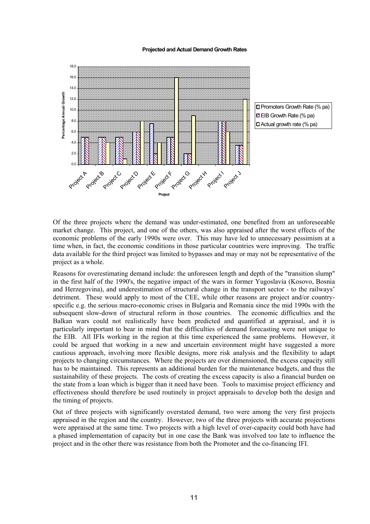#### **Projected and Actual Demand Growth Rates**





Of the three projects where the demand was under-estimated, one benefited from an unforeseeable market change. This project, and one of the others, was also appraised after the worst effects of the economic problems of the early 1990s were over. This may have led to unnecessary pessimism at a time when, in fact, the economic conditions in those particular countries were improving. The traffic data available for the third project was limited to bypasses and may or may not be representative of the project as a whole.

Reasons for overestimating demand include: the unforeseen length and depth of the "transition slump" in the first half of the 1990's, the negative impact of the wars in former Yugoslavia (Kosovo, Bosnia and Herzegovina), and underestimation of structural change in the transport sector - to the railways' detriment. These would apply to most of the CEE, while other reasons are project and/or countryspecific e.g. the serious macro-economic crises in Bulgaria and Romania since the mid 1990s with the subsequent slow-down of structural reform in those countries. The economic difficulties and the Balkan wars could not realistically have been predicted and quantified at appraisal, and it is particularly important to bear in mind that the difficulties of demand forecasting were not unique to the EIB. All IFIs working in the region at this time experienced the same problems. However, it could be argued that working in a new and uncertain environment might have suggested a more cautious approach, involving more flexible designs, more risk analysis and the flexibility to adapt projects to changing circumstances. Where the projects are over dimensioned, the excess capacity still has to be maintained. This represents an additional burden for the maintenance budgets, and thus the sustainability of these projects. The costs of creating the excess capacity is also a financial burden on the state from a loan which is bigger than it need have been. Tools to maximise project efficiency and effectiveness should therefore be used routinely in project appraisals to develop both the design and the timing of projects.

Out of three projects with significantly overstated demand, two were among the very first projects appraised in the region and the country. However, two of the three projects with accurate projections were appraised at the same time. Two projects with a high level of over-capacity could both have had a phased implementation of capacity but in one case the Bank was involved too late to influence the project and in the other there was resistance from both the Promoter and the co-financing IFI.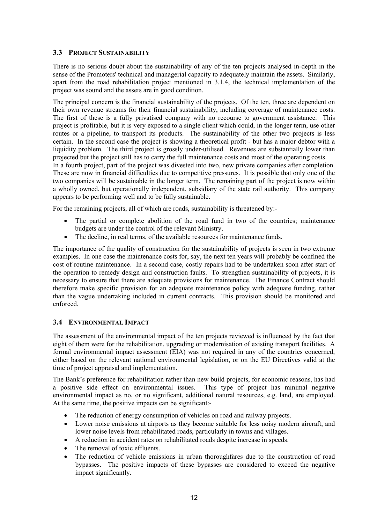## <span id="page-14-0"></span>**3.3 PROJECT SUSTAINABILITY**

There is no serious doubt about the sustainability of any of the ten projects analysed in-depth in the sense of the Promoters' technical and managerial capacity to adequately maintain the assets. Similarly, apart from the road rehabilitation project mentioned in 3.1.4, the technical implementation of the project was sound and the assets are in good condition.

The principal concern is the financial sustainability of the projects. Of the ten, three are dependent on their own revenue streams for their financial sustainability, including coverage of maintenance costs. The first of these is a fully privatised company with no recourse to government assistance. This project is profitable, but it is very exposed to a single client which could, in the longer term, use other routes or a pipeline, to transport its products. The sustainability of the other two projects is less certain. In the second case the project is showing a theoretical profit - but has a major debtor with a liquidity problem. The third project is grossly under-utilised. Revenues are substantially lower than projected but the project still has to carry the full maintenance costs and most of the operating costs. In a fourth project, part of the project was divested into two, new private companies after completion. These are now in financial difficulties due to competitive pressures. It is possible that only one of the two companies will be sustainable in the longer term. The remaining part of the project is now within a wholly owned, but operationally independent, subsidiary of the state rail authority. This company

For the remaining projects, all of which are roads, sustainability is threatened by:-

appears to be performing well and to be fully sustainable.

- The partial or complete abolition of the road fund in two of the countries; maintenance budgets are under the control of the relevant Ministry.
- The decline, in real terms, of the available resources for maintenance funds.

The importance of the quality of construction for the sustainability of projects is seen in two extreme examples. In one case the maintenance costs for, say, the next ten years will probably be confined the cost of routine maintenance. In a second case, costly repairs had to be undertaken soon after start of the operation to remedy design and construction faults. To strengthen sustainability of projects, it is necessary to ensure that there are adequate provisions for maintenance. The Finance Contract should therefore make specific provision for an adequate maintenance policy with adequate funding, rather than the vague undertaking included in current contracts. This provision should be monitored and enforced.

#### **3.4 ENVIRONMENTAL IMPACT**

The assessment of the environmental impact of the ten projects reviewed is influenced by the fact that eight of them were for the rehabilitation, upgrading or modernisation of existing transport facilities. A formal environmental impact assessment (EIA) was not required in any of the countries concerned, either based on the relevant national environmental legislation, or on the EU Directives valid at the time of project appraisal and implementation.

The Bank's preference for rehabilitation rather than new build projects, for economic reasons, has had a positive side effect on environmental issues. This type of project has minimal negative environmental impact as no, or no significant, additional natural resources, e.g. land, are employed. At the same time, the positive impacts can be significant:-

- The reduction of energy consumption of vehicles on road and railway projects.
- Lower noise emissions at airports as they become suitable for less noisy modern aircraft, and lower noise levels from rehabilitated roads, particularly in towns and villages.
- A reduction in accident rates on rehabilitated roads despite increase in speeds.
- The removal of toxic effluents.
- The reduction of vehicle emissions in urban thoroughfares due to the construction of road bypasses. The positive impacts of these bypasses are considered to exceed the negative impact significantly.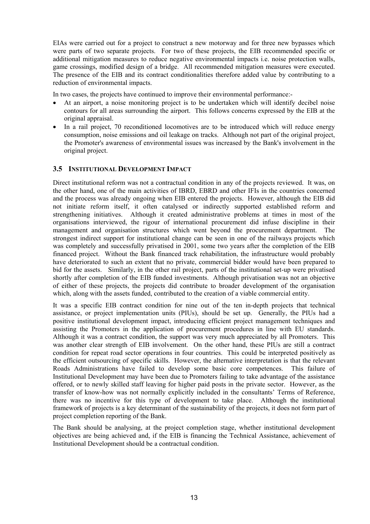<span id="page-15-0"></span>EIAs were carried out for a project to construct a new motorway and for three new bypasses which were parts of two separate projects. For two of these projects, the EIB recommended specific or additional mitigation measures to reduce negative environmental impacts i.e. noise protection walls, game crossings, modified design of a bridge. All recommended mitigation measures were executed. The presence of the EIB and its contract conditionalities therefore added value by contributing to a reduction of environmental impacts.

In two cases, the projects have continued to improve their environmental performance:-

- At an airport, a noise monitoring project is to be undertaken which will identify decibel noise contours for all areas surrounding the airport. This follows concerns expressed by the EIB at the original appraisal.
- In a rail project, 70 reconditioned locomotives are to be introduced which will reduce energy consumption, noise emissions and oil leakage on tracks. Although not part of the original project, the Promoter's awareness of environmental issues was increased by the Bank's involvement in the original project.

#### **3.5 INSTITUTIONAL DEVELOPMENT IMPACT**

Direct institutional reform was not a contractual condition in any of the projects reviewed. It was, on the other hand, one of the main activities of IBRD, EBRD and other IFIs in the countries concerned and the process was already ongoing when EIB entered the projects. However, although the EIB did not initiate reform itself, it often catalysed or indirectly supported established reform and strengthening initiatives. Although it created administrative problems at times in most of the organisations interviewed, the rigour of international procurement did infuse discipline in their management and organisation structures which went beyond the procurement department. The strongest indirect support for institutional change can be seen in one of the railways projects which was completely and successfully privatised in 2001, some two years after the completion of the EIB financed project. Without the Bank financed track rehabilitation, the infrastructure would probably have deteriorated to such an extent that no private, commercial bidder would have been prepared to bid for the assets. Similarly, in the other rail project, parts of the institutional set-up were privatised shortly after completion of the EIB funded investments. Although privatisation was not an objective of either of these projects, the projects did contribute to broader development of the organisation which, along with the assets funded, contributed to the creation of a viable commercial entity.

It was a specific EIB contract condition for nine out of the ten in-depth projects that technical assistance, or project implementation units (PIUs), should be set up. Generally, the PIUs had a positive institutional development impact, introducing efficient project management techniques and assisting the Promoters in the application of procurement procedures in line with EU standards. Although it was a contract condition, the support was very much appreciated by all Promoters. This was another clear strength of EIB involvement. On the other hand, these PIUs are still a contract condition for repeat road sector operations in four countries. This could be interpreted positively as the efficient outsourcing of specific skills. However, the alternative interpretation is that the relevant Roads Administrations have failed to develop some basic core competences. This failure of Institutional Development may have been due to Promoters failing to take advantage of the assistance offered, or to newly skilled staff leaving for higher paid posts in the private sector. However, as the transfer of know-how was not normally explicitly included in the consultants' Terms of Reference, there was no incentive for this type of development to take place. Although the institutional framework of projects is a key determinant of the sustainability of the projects, it does not form part of project completion reporting of the Bank.

The Bank should be analysing, at the project completion stage, whether institutional development objectives are being achieved and, if the EIB is financing the Technical Assistance, achievement of Institutional Development should be a contractual condition.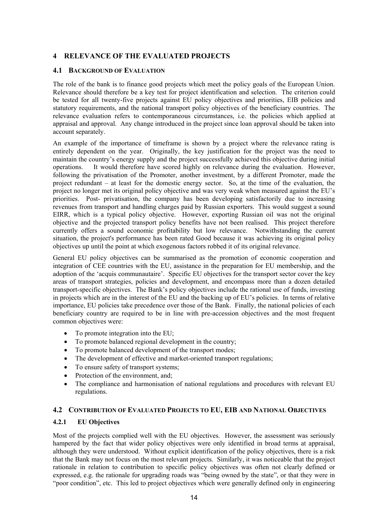## <span id="page-16-0"></span>**4 RELEVANCE OF THE EVALUATED PROJECTS**

#### **4.1 BACKGROUND OF EVALUATION**

The role of the bank is to finance good projects which meet the policy goals of the European Union. Relevance should therefore be a key test for project identification and selection. The criterion could be tested for all twenty-five projects against EU policy objectives and priorities, EIB policies and statutory requirements, and the national transport policy objectives of the beneficiary countries. The relevance evaluation refers to contemporaneous circumstances, i.e. the policies which applied at appraisal and approval. Any change introduced in the project since loan approval should be taken into account separately.

An example of the importance of timeframe is shown by a project where the relevance rating is entirely dependent on the year. Originally, the key justification for the project was the need to maintain the country's energy supply and the project successfully achieved this objective during initial operations. It would therefore have scored highly on relevance during the evaluation. However, following the privatisation of the Promoter, another investment, by a different Promoter, made the project redundant – at least for the domestic energy sector. So, at the time of the evaluation, the project no longer met its original policy objective and was very weak when measured against the EU's priorities. Post- privatisation, the company has been developing satisfactorily due to increasing revenues from transport and handling charges paid by Russian exporters. This would suggest a sound EIRR, which is a typical policy objective. However, exporting Russian oil was not the original objective and the projected transport policy benefits have not been realised. This project therefore currently offers a sound economic profitability but low relevance. Notwithstanding the current situation, the project's performance has been rated Good because it was achieving its original policy objectives up until the point at which exogenous factors robbed it of its original relevance.

General EU policy objectives can be summarised as the promotion of economic cooperation and integration of CEE countries with the EU, assistance in the preparation for EU membership, and the adoption of the 'acquis communautaire'. Specific EU objectives for the transport sector cover the key areas of transport strategies, policies and development, and encompass more than a dozen detailed transport-specific objectives. The Bank's policy objectives include the rational use of funds, investing in projects which are in the interest of the EU and the backing up of EU's policies. In terms of relative importance, EU policies take precedence over those of the Bank. Finally, the national policies of each beneficiary country are required to be in line with pre-accession objectives and the most frequent common objectives were:

- To promote integration into the EU:
- To promote balanced regional development in the country;
- To promote balanced development of the transport modes;
- The development of effective and market-oriented transport regulations:
- To ensure safety of transport systems:
- Protection of the environment, and:
- The compliance and harmonisation of national regulations and procedures with relevant EU regulations.

#### **4.2 CONTRIBUTION OF EVALUATED PROJECTS TO EU, EIB AND NATIONAL OBJECTIVES**

#### **4.2.1 EU Objectives**

Most of the projects complied well with the EU objectives. However, the assessment was seriously hampered by the fact that wider policy objectives were only identified in broad terms at appraisal, although they were understood. Without explicit identification of the policy objectives, there is a risk that the Bank may not focus on the most relevant projects. Similarly, it was noticeable that the project rationale in relation to contribution to specific policy objectives was often not clearly defined or expressed, e.g. the rationale for upgrading roads was "being owned by the state", or that they were in "poor condition", etc. This led to project objectives which were generally defined only in engineering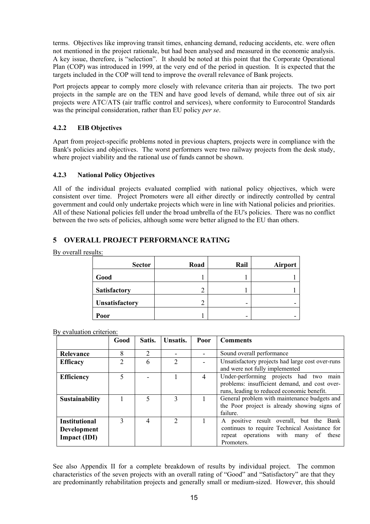<span id="page-17-0"></span>terms. Objectives like improving transit times, enhancing demand, reducing accidents, etc. were often not mentioned in the project rationale, but had been analysed and measured in the economic analysis. A key issue, therefore, is "selection". It should be noted at this point that the Corporate Operational Plan (COP) was introduced in 1999, at the very end of the period in question. It is expected that the targets included in the COP will tend to improve the overall relevance of Bank projects.

Port projects appear to comply more closely with relevance criteria than air projects. The two port projects in the sample are on the TEN and have good levels of demand, while three out of six air projects were ATC/ATS (air traffic control and services), where conformity to Eurocontrol Standards was the principal consideration, rather than EU policy *per se*.

## **4.2.2 EIB Objectives**

Apart from project-specific problems noted in previous chapters, projects were in compliance with the Bank's policies and objectives. The worst performers were two railway projects from the desk study, where project viability and the rational use of funds cannot be shown.

#### **4.2.3 National Policy Objectives**

All of the individual projects evaluated complied with national policy objectives, which were consistent over time. Project Promoters were all either directly or indirectly controlled by central government and could only undertake projects which were in line with National policies and priorities. All of these National policies fell under the broad umbrella of the EU's policies. There was no conflict between the two sets of policies, although some were better aligned to the EU than others.

# **5 OVERALL PROJECT PERFORMANCE RATING**

By overall results:

| <b>Sector</b>         | Road   | Rail | <b>Airport</b> |
|-----------------------|--------|------|----------------|
| Good                  |        |      |                |
| <b>Satisfactory</b>   | 2      |      |                |
| <b>Unsatisfactory</b> | っ<br>∠ | -    |                |
| Poor                  |        | -    |                |

By evaluation criterion:

|                                                            | Good | Satis.         | Unsatis. | Poor           | <b>Comments</b>                                                                                                                                         |
|------------------------------------------------------------|------|----------------|----------|----------------|---------------------------------------------------------------------------------------------------------------------------------------------------------|
| Relevance                                                  | 8    | $\overline{2}$ |          |                | Sound overall performance                                                                                                                               |
| <b>Efficacy</b>                                            | ↑    | 6              | ↑        |                | Unsatisfactory projects had large cost over-runs<br>and were not fully implemented                                                                      |
| <b>Efficiency</b>                                          |      |                |          | $\overline{4}$ | Under-performing projects had two<br>main<br>problems: insufficient demand, and cost over-<br>runs, leading to reduced economic benefit.                |
| <b>Sustainability</b>                                      |      | 5              | 3        |                | General problem with maintenance budgets and<br>the Poor project is already showing signs of<br>failure.                                                |
| <b>Institutional</b><br><b>Development</b><br>Impact (IDI) | 3    | 4              | 2        |                | A positive result overall, but the<br>Bank<br>continues to require Technical Assistance for<br>repeat operations with many<br>these<br>of<br>Promoters. |

See also Appendix II for a complete breakdown of results by individual project. The common characteristics of the seven projects with an overall rating of "Good" and "Satisfactory" are that they are predominantly rehabilitation projects and generally small or medium-sized. However, this should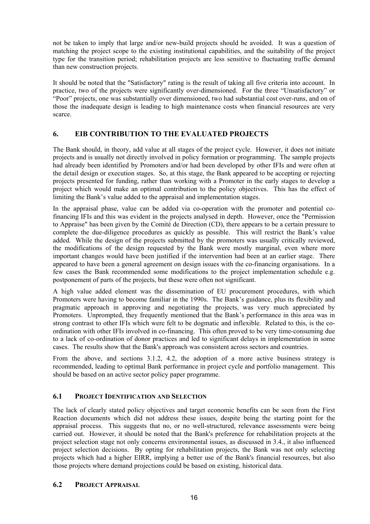<span id="page-18-0"></span>not be taken to imply that large and/or new-build projects should be avoided. It was a question of matching the project scope to the existing institutional capabilities, and the suitability of the project type for the transition period; rehabilitation projects are less sensitive to fluctuating traffic demand than new construction projects.

It should be noted that the "Satisfactory" rating is the result of taking all five criteria into account. In practice, two of the projects were significantly over-dimensioned. For the three "Unsatisfactory" or "Poor" projects, one was substantially over dimensioned, two had substantial cost over-runs, and on of those the inadequate design is leading to high maintenance costs when financial resources are very scarce.

# **6. EIB CONTRIBUTION TO THE EVALUATED PROJECTS**

The Bank should, in theory, add value at all stages of the project cycle. However, it does not initiate projects and is usually not directly involved in policy formation or programming. The sample projects had already been identified by Promoters and/or had been developed by other IFIs and were often at the detail design or execution stages. So, at this stage, the Bank appeared to be accepting or rejecting projects presented for funding, rather than working with a Promoter in the early stages to develop a project which would make an optimal contribution to the policy objectives. This has the effect of limiting the Bank's value added to the appraisal and implementation stages.

In the appraisal phase, value can be added via co-operation with the promoter and potential cofinancing IFIs and this was evident in the projects analysed in depth. However, once the "Permission to Appraise" has been given by the Comité de Direction (CD), there appears to be a certain pressure to complete the due-diligence procedures as quickly as possible. This will restrict the Bank's value added. While the design of the projects submitted by the promoters was usually critically reviewed, the modifications of the design requested by the Bank were mostly marginal, even where more important changes would have been justified if the intervention had been at an earlier stage. There appeared to have been a general agreement on design issues with the co-financing organisations. In a few cases the Bank recommended some modifications to the project implementation schedule e.g. postponement of parts of the projects, but these were often not significant.

A high value added element was the dissemination of EU procurement procedures, with which Promoters were having to become familiar in the 1990s. The Bank's guidance, plus its flexibility and pragmatic approach in approving and negotiating the projects, was very much appreciated by Promoters. Unprompted, they frequently mentioned that the Bank's performance in this area was in strong contrast to other IFIs which were felt to be dogmatic and inflexible. Related to this, is the coordination with other IFIs involved in co-financing. This often proved to be very time-consuming due to a lack of co-ordination of donor practices and led to significant delays in implementation in some cases. The results show that the Bank's approach was consistent across sectors and countries.

From the above, and sections 3.1.2, 4.2, the adoption of a more active business strategy is recommended, leading to optimal Bank performance in project cycle and portfolio management. This should be based on an active sector policy paper programme.

# **6.1 PROJECT IDENTIFICATION AND SELECTION**

The lack of clearly stated policy objectives and target economic benefits can be seen from the First Reaction documents which did not address these issues, despite being the starting point for the appraisal process. This suggests that no, or no well-structured, relevance assessments were being carried out. However, it should be noted that the Bank's preference for rehabilitation projects at the project selection stage not only concerns environmental issues, as discussed in 3.4., it also influenced project selection decisions. By opting for rehabilitation projects, the Bank was not only selecting projects which had a higher EIRR, implying a better use of the Bank's financial resources, but also those projects where demand projections could be based on existing, historical data.

#### **6.2 PROJECT APPRAISAL**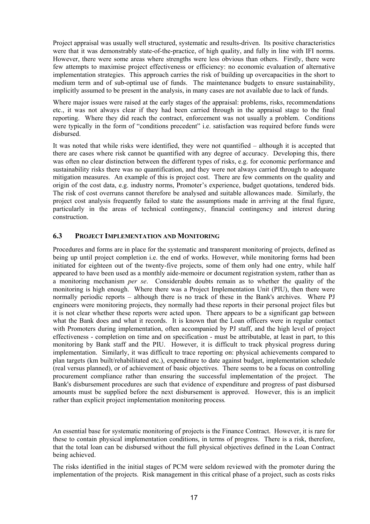<span id="page-19-0"></span>Project appraisal was usually well structured, systematic and results-driven. Its positive characteristics were that it was demonstrably state-of-the-practice, of high quality, and fully in line with IFI norms. However, there were some areas where strengths were less obvious than others. Firstly, there were few attempts to maximise project effectiveness or efficiency: no economic evaluation of alternative implementation strategies. This approach carries the risk of building up overcapacities in the short to medium term and of sub-optimal use of funds. The maintenance budgets to ensure sustainability, implicitly assumed to be present in the analysis, in many cases are not available due to lack of funds.

Where major issues were raised at the early stages of the appraisal: problems, risks, recommendations etc., it was not always clear if they had been carried through in the appraisal stage to the final reporting. Where they did reach the contract, enforcement was not usually a problem. Conditions were typically in the form of "conditions precedent" i.e. satisfaction was required before funds were disbursed.

It was noted that while risks were identified, they were not quantified – although it is accepted that there are cases where risk cannot be quantified with any degree of accuracy. Developing this, there was often no clear distinction between the different types of risks, e.g. for economic performance and sustainability risks there was no quantification, and they were not always carried through to adequate mitigation measures. An example of this is project cost. There are few comments on the quality and origin of the cost data, e.g. industry norms, Promoter's experience, budget quotations, tendered bids. The risk of cost overruns cannot therefore be analysed and suitable allowances made. Similarly, the project cost analysis frequently failed to state the assumptions made in arriving at the final figure, particularly in the areas of technical contingency, financial contingency and interest during construction.

#### **6.3 PROJECT IMPLEMENTATION AND MONITORING**

Procedures and forms are in place for the systematic and transparent monitoring of projects, defined as being up until project completion i.e. the end of works. However, while monitoring forms had been initiated for eighteen out of the twenty-five projects, some of them only had one entry, while half appeared to have been used as a monthly aide-memoire or document registration system, rather than as a monitoring mechanism *per se*. Considerable doubts remain as to whether the quality of the monitoring is high enough. Where there was a Project Implementation Unit (PIU), then there were normally periodic reports – although there is no track of these in the Bank's archives. Where PJ engineers were monitoring projects, they normally had these reports in their personal project files but it is not clear whether these reports were acted upon. There appears to be a significant gap between what the Bank does and what it records. It is known that the Loan officers were in regular contact with Promoters during implementation, often accompanied by PJ staff, and the high level of project effectiveness - completion on time and on specification - must be attributable, at least in part, to this monitoring by Bank staff and the PIU. However, it is difficult to track physical progress during implementation. Similarly, it was difficult to trace reporting on: physical achievements compared to plan targets (km built/rehabilitated etc.), expenditure to date against budget, implementation schedule (real versus planned), or of achievement of basic objectives. There seems to be a focus on controlling procurement compliance rather than ensuring the successful implementation of the project. The Bank's disbursement procedures are such that evidence of expenditure and progress of past disbursed amounts must be supplied before the next disbursement is approved. However, this is an implicit rather than explicit project implementation monitoring process*.* 

An essential base for systematic monitoring of projects is the Finance Contract. However, it is rare for these to contain physical implementation conditions, in terms of progress. There is a risk, therefore, that the total loan can be disbursed without the full physical objectives defined in the Loan Contract being achieved.

The risks identified in the initial stages of PCM were seldom reviewed with the promoter during the implementation of the projects. Risk management in this critical phase of a project, such as costs risks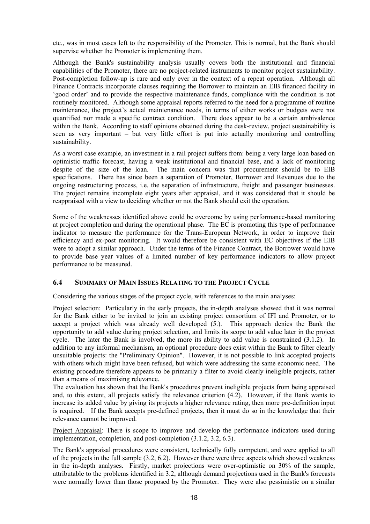<span id="page-20-0"></span>etc., was in most cases left to the responsibility of the Promoter. This is normal, but the Bank should supervise whether the Promoter is implementing them.

Although the Bank's sustainability analysis usually covers both the institutional and financial capabilities of the Promoter, there are no project-related instruments to monitor project sustainability. Post-completion follow-up is rare and only ever in the context of a repeat operation. Although all Finance Contracts incorporate clauses requiring the Borrower to maintain an EIB financed facility in 'good order' and to provide the respective maintenance funds, compliance with the condition is not routinely monitored. Although some appraisal reports referred to the need for a programme of routine maintenance, the project's actual maintenance needs, in terms of either works or budgets were not quantified nor made a specific contract condition. There does appear to be a certain ambivalence within the Bank. According to staff opinions obtained during the desk-review, project sustainability is seen as very important – but very little effort is put into actually monitoring and controlling sustainability.

As a worst case example, an investment in a rail project suffers from: being a very large loan based on optimistic traffic forecast, having a weak institutional and financial base, and a lack of monitoring despite of the size of the loan. The main concern was that procurement should be to EIB specifications. There has since been a separation of Promoter, Borrower and Revenues due to the ongoing restructuring process, i.e. the separation of infrastructure, freight and passenger businesses. The project remains incomplete eight years after appraisal, and it was considered that it should be reappraised with a view to deciding whether or not the Bank should exit the operation.

Some of the weaknesses identified above could be overcome by using performance-based monitoring at project completion and during the operational phase. The EC is promoting this type of performance indicator to measure the performance for the Trans-European Network, in order to improve their efficiency and ex-post monitoring. It would therefore be consistent with EC objectives if the EIB were to adopt a similar approach. Under the terms of the Finance Contract, the Borrower would have to provide base year values of a limited number of key performance indicators to allow project performance to be measured.

#### **6.4 SUMMARY OF MAIN ISSUES RELATING TO THE PROJECT CYCLE**

Considering the various stages of the project cycle, with references to the main analyses:

Project selection: Particularly in the early projects, the in-depth analyses showed that it was normal for the Bank either to be invited to join an existing project consortium of IFI and Promoter, or to accept a project which was already well developed (5.). This approach denies the Bank the opportunity to add value during project selection, and limits its scope to add value later in the project cycle. The later the Bank is involved, the more its ability to add value is constrained (3.1.2). In addition to any informal mechanism, an optional procedure does exist within the Bank to filter clearly unsuitable projects: the "Preliminary Opinion". However, it is not possible to link accepted projects with others which might have been refused, but which were addressing the same economic need. The existing procedure therefore appears to be primarily a filter to avoid clearly ineligible projects, rather than a means of maximising relevance.

The evaluation has shown that the Bank's procedures prevent ineligible projects from being appraised and, to this extent, all projects satisfy the relevance criterion (4.2). However, if the Bank wants to increase its added value by giving its projects a higher relevance rating, then more pre-definition input is required. If the Bank accepts pre-defined projects, then it must do so in the knowledge that their relevance cannot be improved.

Project Appraisal: There is scope to improve and develop the performance indicators used during implementation, completion, and post-completion (3.1.2, 3.2, 6.3).

The Bank's appraisal procedures were consistent, technically fully competent, and were applied to all of the projects in the full sample (3.2, 6.2). However there were three aspects which showed weakness in the in-depth analyses. Firstly, market projections were over-optimistic on 30% of the sample, attributable to the problems identified in 3.2, although demand projections used in the Bank's forecasts were normally lower than those proposed by the Promoter. They were also pessimistic on a similar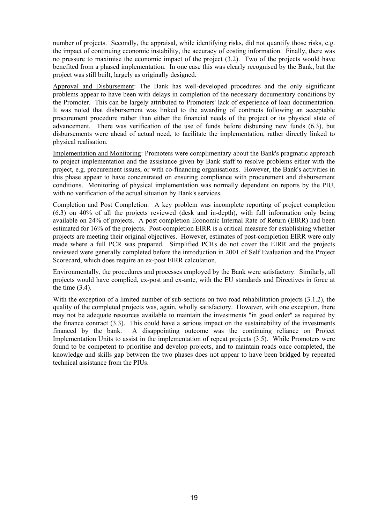number of projects. Secondly, the appraisal, while identifying risks, did not quantify those risks, e.g. the impact of continuing economic instability, the accuracy of costing information. Finally, there was no pressure to maximise the economic impact of the project (3.2). Two of the projects would have benefited from a phased implementation. In one case this was clearly recognised by the Bank, but the project was still built, largely as originally designed.

Approval and Disbursement: The Bank has well-developed procedures and the only significant problems appear to have been with delays in completion of the necessary documentary conditions by the Promoter. This can be largely attributed to Promoters' lack of experience of loan documentation. It was noted that disbursement was linked to the awarding of contracts following an acceptable procurement procedure rather than either the financial needs of the project or its physical state of advancement. There was verification of the use of funds before disbursing new funds (6.3), but disbursements were ahead of actual need, to facilitate the implementation, rather directly linked to physical realisation.

Implementation and Monitoring: Promoters were complimentary about the Bank's pragmatic approach to project implementation and the assistance given by Bank staff to resolve problems either with the project, e.g. procurement issues, or with co-financing organisations. However, the Bank's activities in this phase appear to have concentrated on ensuring compliance with procurement and disbursement conditions. Monitoring of physical implementation was normally dependent on reports by the PIU, with no verification of the actual situation by Bank's services.

Completion and Post Completion: A key problem was incomplete reporting of project completion (6.3) on 40% of all the projects reviewed (desk and in-depth), with full information only being available on 24% of projects. A post completion Economic Internal Rate of Return (EIRR) had been estimated for 16% of the projects. Post-completion EIRR is a critical measure for establishing whether projects are meeting their original objectives. However, estimates of post-completion EIRR were only made where a full PCR was prepared. Simplified PCRs do not cover the EIRR and the projects reviewed were generally completed before the introduction in 2001 of Self Evaluation and the Project Scorecard, which does require an ex-post EIRR calculation.

Environmentally, the procedures and processes employed by the Bank were satisfactory. Similarly, all projects would have complied, ex-post and ex-ante, with the EU standards and Directives in force at the time  $(3.4)$ .

With the exception of a limited number of sub-sections on two road rehabilitation projects (3.1.2), the quality of the completed projects was, again, wholly satisfactory. However, with one exception, there may not be adequate resources available to maintain the investments "in good order" as required by the finance contract (3.3). This could have a serious impact on the sustainability of the investments financed by the bank. A disappointing outcome was the continuing reliance on Project Implementation Units to assist in the implementation of repeat projects (3.5). While Promoters were found to be competent to prioritise and develop projects, and to maintain roads once completed, the knowledge and skills gap between the two phases does not appear to have been bridged by repeated technical assistance from the PIUs.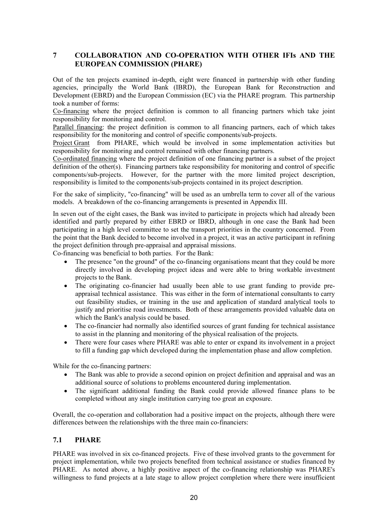## <span id="page-22-0"></span>**7 COLLABORATION AND CO-OPERATION WITH OTHER IFIs AND THE EUROPEAN COMMISSION (PHARE)**

Out of the ten projects examined in-depth, eight were financed in partnership with other funding agencies, principally the World Bank (IBRD), the European Bank for Reconstruction and Development (EBRD) and the European Commission (EC) via the PHARE program. This partnership took a number of forms:

Co-financing where the project definition is common to all financing partners which take joint responsibility for monitoring and control.

Parallel financing: the project definition is common to all financing partners, each of which takes responsibility for the monitoring and control of specific components/sub-projects.

Project Grant from PHARE, which would be involved in some implementation activities but responsibility for monitoring and control remained with other financing partners.

Co-ordinated financing where the project definition of one financing partner is a subset of the project definition of the other(s). Financing partners take responsibility for monitoring and control of specific components/sub-projects. However, for the partner with the more limited project description, responsibility is limited to the components/sub-projects contained in its project description.

For the sake of simplicity, "co-financing" will be used as an umbrella term to cover all of the various models. A breakdown of the co-financing arrangements is presented in Appendix III.

In seven out of the eight cases, the Bank was invited to participate in projects which had already been identified and partly prepared by either EBRD or IBRD, although in one case the Bank had been participating in a high level committee to set the transport priorities in the country concerned. From the point that the Bank decided to become involved in a project, it was an active participant in refining the project definition through pre-appraisal and appraisal missions.

Co-financing was beneficial to both parties. For the Bank:

- The presence "on the ground" of the co-financing organisations meant that they could be more directly involved in developing project ideas and were able to bring workable investment projects to the Bank.
- The originating co-financier had usually been able to use grant funding to provide preappraisal technical assistance. This was either in the form of international consultants to carry out feasibility studies, or training in the use and application of standard analytical tools to justify and prioritise road investments. Both of these arrangements provided valuable data on which the Bank's analysis could be based.
- The co-financier had normally also identified sources of grant funding for technical assistance to assist in the planning and monitoring of the physical realisation of the projects.
- There were four cases where PHARE was able to enter or expand its involvement in a project to fill a funding gap which developed during the implementation phase and allow completion.

While for the co-financing partners:

- The Bank was able to provide a second opinion on project definition and appraisal and was an additional source of solutions to problems encountered during implementation.
- The significant additional funding the Bank could provide allowed finance plans to be completed without any single institution carrying too great an exposure.

Overall, the co-operation and collaboration had a positive impact on the projects, although there were differences between the relationships with the three main co-financiers:

#### **7.1 PHARE**

PHARE was involved in six co-financed projects. Five of these involved grants to the government for project implementation, while two projects benefited from technical assistance or studies financed by PHARE. As noted above, a highly positive aspect of the co-financing relationship was PHARE's willingness to fund projects at a late stage to allow project completion where there were insufficient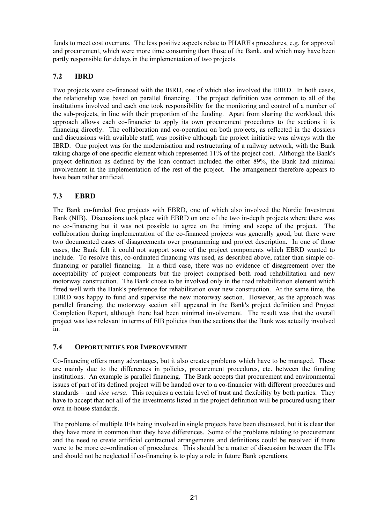<span id="page-23-0"></span>funds to meet cost overruns. The less positive aspects relate to PHARE's procedures, e.g. for approval and procurement, which were more time consuming than those of the Bank, and which may have been partly responsible for delays in the implementation of two projects.

# **7.2 IBRD**

Two projects were co-financed with the IBRD, one of which also involved the EBRD. In both cases, the relationship was based on parallel financing. The project definition was common to all of the institutions involved and each one took responsibility for the monitoring and control of a number of the sub-projects, in line with their proportion of the funding. Apart from sharing the workload, this approach allows each co-financier to apply its own procurement procedures to the sections it is financing directly. The collaboration and co-operation on both projects, as reflected in the dossiers and discussions with available staff, was positive although the project initiative was always with the IBRD. One project was for the modernisation and restructuring of a railway network, with the Bank taking charge of one specific element which represented 11% of the project cost. Although the Bank's project definition as defined by the loan contract included the other 89%, the Bank had minimal involvement in the implementation of the rest of the project. The arrangement therefore appears to have been rather artificial.

# **7.3 EBRD**

The Bank co-funded five projects with EBRD, one of which also involved the Nordic Investment Bank (NIB). Discussions took place with EBRD on one of the two in-depth projects where there was no co-financing but it was not possible to agree on the timing and scope of the project. The collaboration during implementation of the co-financed projects was generally good, but there were two documented cases of disagreements over programming and project description. In one of those cases, the Bank felt it could not support some of the project components which EBRD wanted to include. To resolve this, co-ordinated financing was used, as described above, rather than simple cofinancing or parallel financing. In a third case, there was no evidence of disagreement over the acceptability of project components but the project comprised both road rehabilitation and new motorway construction. The Bank chose to be involved only in the road rehabilitation element which fitted well with the Bank's preference for rehabilitation over new construction. At the same time, the EBRD was happy to fund and supervise the new motorway section. However, as the approach was parallel financing, the motorway section still appeared in the Bank's project definition and Project Completion Report, although there had been minimal involvement. The result was that the overall project was less relevant in terms of EIB policies than the sections that the Bank was actually involved in.

# **7.4 OPPORTUNITIES FOR IMPROVEMENT**

Co-financing offers many advantages, but it also creates problems which have to be managed. These are mainly due to the differences in policies, procurement procedures, etc. between the funding institutions. An example is parallel financing. The Bank accepts that procurement and environmental issues of part of its defined project will be handed over to a co-financier with different procedures and standards – and *vice versa*. This requires a certain level of trust and flexibility by both parties. They have to accept that not all of the investments listed in the project definition will be procured using their own in-house standards.

The problems of multiple IFIs being involved in single projects have been discussed, but it is clear that they have more in common than they have differences. Some of the problems relating to procurement and the need to create artificial contractual arrangements and definitions could be resolved if there were to be more co-ordination of procedures. This should be a matter of discussion between the IFIs and should not be neglected if co-financing is to play a role in future Bank operations.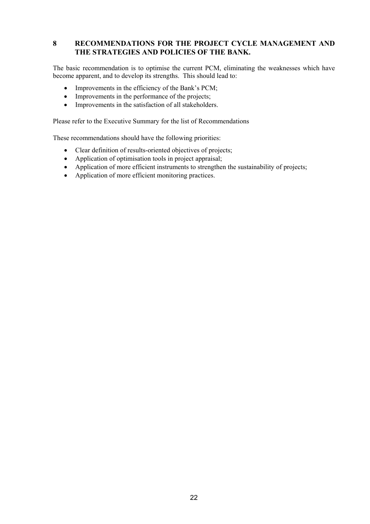## <span id="page-24-0"></span>**8 RECOMMENDATIONS FOR THE PROJECT CYCLE MANAGEMENT AND THE STRATEGIES AND POLICIES OF THE BANK.**

The basic recommendation is to optimise the current PCM, eliminating the weaknesses which have become apparent, and to develop its strengths. This should lead to:

- Improvements in the efficiency of the Bank's PCM;
- Improvements in the performance of the projects;
- Improvements in the satisfaction of all stakeholders.

Please refer to the Executive Summary for the list of Recommendations

These recommendations should have the following priorities:

- Clear definition of results-oriented objectives of projects;
- Application of optimisation tools in project appraisal;
- Application of more efficient instruments to strengthen the sustainability of projects;
- Application of more efficient monitoring practices.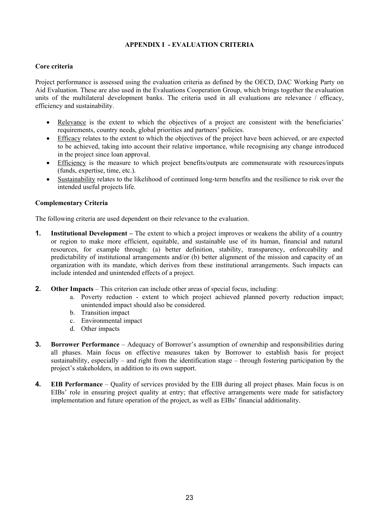#### **APPENDIX I - EVALUATION CRITERIA**

#### <span id="page-25-0"></span>**Core criteria**

Project performance is assessed using the evaluation criteria as defined by the OECD, DAC Working Party on Aid Evaluation. These are also used in the Evaluations Cooperation Group, which brings together the evaluation units of the multilateral development banks. The criteria used in all evaluations are relevance / efficacy, efficiency and sustainability.

- Relevance is the extent to which the objectives of a project are consistent with the beneficiaries' requirements, country needs, global priorities and partners' policies.
- Efficacy relates to the extent to which the objectives of the project have been achieved, or are expected to be achieved, taking into account their relative importance, while recognising any change introduced in the project since loan approval.
- Efficiency is the measure to which project benefits/outputs are commensurate with resources/inputs (funds, expertise, time, etc.).
- Sustainability relates to the likelihood of continued long-term benefits and the resilience to risk over the intended useful projects life.

#### **Complementary Criteria**

The following criteria are used dependent on their relevance to the evaluation.

- **1. Institutional Development –** The extent to which a project improves or weakens the ability of a country or region to make more efficient, equitable, and sustainable use of its human, financial and natural resources, for example through: (a) better definition, stability, transparency, enforceability and predictability of institutional arrangements and/or (b) better alignment of the mission and capacity of an organization with its mandate, which derives from these institutional arrangements. Such impacts can include intended and unintended effects of a project.
- **2. Other Impacts**  This criterion can include other areas of special focus, including:
	- a. Poverty reduction extent to which project achieved planned poverty reduction impact; unintended impact should also be considered.
	- b. Transition impact
	- c. Environmental impact
	- d. Other impacts
- **3. Borrower Performance** Adequacy of Borrower's assumption of ownership and responsibilities during all phases. Main focus on effective measures taken by Borrower to establish basis for project sustainability, especially – and right from the identification stage – through fostering participation by the project's stakeholders, in addition to its own support.
- **4. EIB Performance** Quality of services provided by the EIB during all project phases. Main focus is on EIBs' role in ensuring project quality at entry; that effective arrangements were made for satisfactory implementation and future operation of the project, as well as EIBs' financial additionality.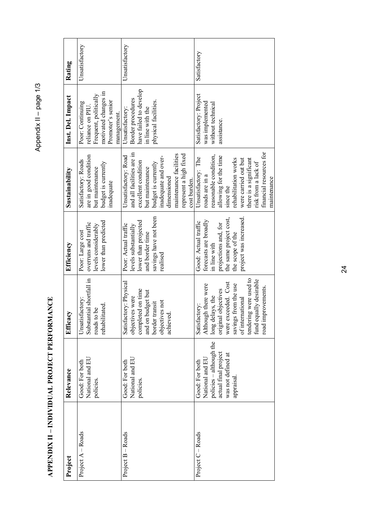<span id="page-26-0"></span>

| Project           | Relevance               | Efficacy                    | Efficiency             | Sustainability            | Inst. Del. Impact      | Rating         |
|-------------------|-------------------------|-----------------------------|------------------------|---------------------------|------------------------|----------------|
| Project A - Roads | Good: For both          | Unsatisfactory:             | Poor: Large cost       | Satisfactory: Roads       | Poor: Continuing       | Unsatisfactory |
|                   | National and EU         | Substantial shortfall in    | overruns and traffic   | are in good condition     | reliance on PIU        |                |
|                   | policies.               | roads to be                 | levels considerably    | but maintenance           | Frequent, politically  |                |
|                   |                         | rehabilitated.              | lower than predicted   | budget is currently       | motivated changes in   |                |
|                   |                         |                             |                        | inadequate                | Promoter's senior      |                |
|                   |                         |                             |                        |                           | management.            |                |
| Project B - Roads | Good: For both          | Satisfactory: Physical      | Poor: Actual traffic   | Unsatisfactory: Road      | Unsatisfactory         | Unsatisfactory |
|                   | National and EU         | objectives were             | levels substantially   | and all facilities are in | Border procedures      |                |
|                   | policies.               | completed on time           | lower than projected   | excellent condition       | have failed to develop |                |
|                   |                         | and on budget but           | and border time        | but maintenance           | in line with the       |                |
|                   |                         | border transit              | savings have not been  | budget is currently       | physical facilities.   |                |
|                   |                         | objectives not              | realised               | inadequate and over-      |                        |                |
|                   |                         | achieved.                   |                        | dimensioned               |                        |                |
|                   |                         |                             |                        | maintenance facilities    |                        |                |
|                   |                         |                             |                        | represent a high fixed    |                        |                |
|                   |                         |                             |                        | cost burden.              |                        |                |
| Project C - Roads | Good: For both          | Satisfactory:               | Good: Actual traffic   | Unsatisfactory: The       | Satisfactory: Project  | Satisfactory   |
|                   | National and EL         | Although there were         | forecasts are broadly  | roads are in a            | was implemented        |                |
|                   | policies - although the | long delays, the            | in line with           | reasonable condition,     | without technical      |                |
|                   | actual final project    | original objectives         | projections and, for   | allowing for the time     | assistance.            |                |
|                   | was not defined at      | were exceeded. Cost         | the same project cost, | since the                 |                        |                |
|                   | appraisal.              | savings from the use        | the scope of the       | rehabilitation works      |                        |                |
|                   |                         | of international            | project was increased. | were carried out but      |                        |                |
|                   |                         | ng were used to<br>tenderin |                        | there is a significant    |                        |                |
|                   |                         | fund equally desirable      |                        | risk from a lack of       |                        |                |
|                   |                         | road improvements.          |                        | financial resources for   |                        |                |
|                   |                         |                             |                        | maintenance               |                        |                |

APPENDIX II - INDIVIDUAL PROJECT PERFORMANCE **APPENDIX II – INDIVIDUAL PROJECT PERFORMANCE** 

Appendix II - page 1/3 Appendix II – page 1/3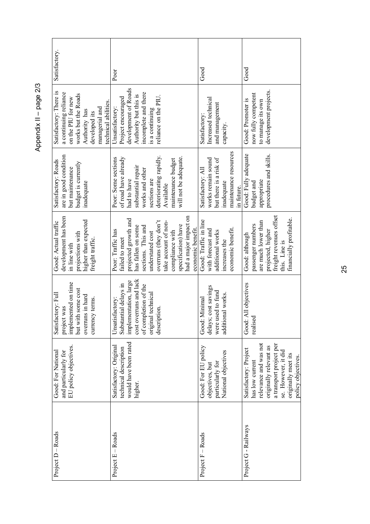|                                               | Good: For National | Satisfactory: Full                  | Good: Actual traffic                     | Satisfactory: Roads                      | Satisfactory: There is                      | Satisfactory. |
|-----------------------------------------------|--------------------|-------------------------------------|------------------------------------------|------------------------------------------|---------------------------------------------|---------------|
| EU policy objectives.<br>and particularly for |                    | implemented on time<br>project was  | development has been<br>in line with     | are in good condition<br>but maintenance | a continuing reliance<br>on the PIU for new |               |
|                                               |                    | but with some cost                  | projections with                         | budget is currently                      | works but the Roads                         |               |
|                                               |                    | overruns in hard<br>currency terms. | higher than expected<br>freight traffic. | inadequate                               | Authority has<br>developed its              |               |
|                                               |                    |                                     |                                          |                                          | technical abilities.<br>managerial and      |               |
| Satisfactory: Original                        |                    | Unsatisfactory:                     | Poor: Traffic has                        | Poor: Some sections                      | Unsatisfactory:                             | Poor          |
| technical description                         |                    | Substantial delays in               | failed to meet                           | of road have already                     | Project encouraged                          |               |
| would have been rated                         |                    | implementation, large               | projected growth and                     | had to have                              | development of Roads                        |               |
| higher.                                       |                    | cost overruns and lack              | has fallen on some                       | substantial repair                       | Authority but this is                       |               |
|                                               |                    | of completion of the                | sections. This and                       | works and other                          | incomplete and there                        |               |
|                                               |                    | original technical                  | understated cost                         | sections are                             | is a continuing                             |               |
| description.                                  |                    |                                     | overruns (they don't                     | deteriorating rapidly.                   | reliance on the PIU.                        |               |
|                                               |                    |                                     | take account of non-                     | Available                                |                                             |               |
|                                               |                    |                                     | compliance with                          | maintenance budget                       |                                             |               |
|                                               |                    |                                     | specification) have                      | will not be adequate.                    |                                             |               |
|                                               |                    |                                     | had a major impact on                    |                                          |                                             |               |
|                                               |                    |                                     | economic benefit.                        |                                          |                                             |               |
| Good: For EU policy                           |                    | Good: Minimal                       | Good: Traffic in line                    | Satisfactory: All                        | Satisfactory:                               | Good          |
| objectives, but                               |                    | delays; cost savings                | with forecast and                        | works remain sound                       | Increased technical                         |               |
| particularly for                              |                    | were used to fund                   | additional works                         | but there is a risk of                   | and management                              |               |
| National objectives                           |                    | additional works                    | increases the                            | inadequate                               | capacity.                                   |               |
|                                               |                    |                                     | economic benefit.                        | maintenance resources<br>in future.      |                                             |               |
| Good:<br>Satisfactory: Project                |                    | All objectives                      | Good: although                           | Good: Fully adequate                     | Good: Promoter is                           | $\rm Good$    |
| realised<br>has low current                   |                    |                                     | passenger numbers                        | budget and                               | now fully competent                         |               |
| relevance and was not                         |                    |                                     | are much lower than                      | appropriate                              | to manage its own                           |               |
| originally relevant as                        |                    |                                     | projected, higher                        | procedures and skills.                   | development projects.                       |               |
| a transport project per                       |                    |                                     | freight revenues offset                  |                                          |                                             |               |
| se. However, it did                           |                    |                                     | this. Line is                            |                                          |                                             |               |
| originally meet its                           |                    |                                     | financially profitable.                  |                                          |                                             |               |
| policy objectives.                            |                    |                                     |                                          |                                          |                                             |               |

Appendix II - page 2/3 Appendix II – page 2/3

25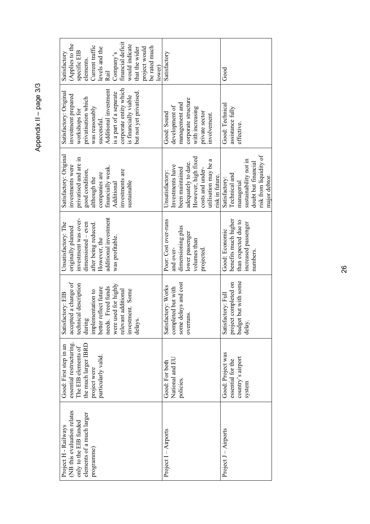Appendix II - page 3/3 Appendix II – page 3/3

| financial deficit<br>(Applies to the<br>would indicate<br>Current traffic<br>be rated much<br>levels and the<br>that the wider<br>project would<br>specific EIB<br>Satisfactory<br>Company's<br>elements.<br>lower)<br>Rail                              | Satisfactory                                                                                                                                                        | $\rm God$                                                                                                                               |
|----------------------------------------------------------------------------------------------------------------------------------------------------------------------------------------------------------------------------------------------------------|---------------------------------------------------------------------------------------------------------------------------------------------------------------------|-----------------------------------------------------------------------------------------------------------------------------------------|
| corporate entity which<br>Additional investment<br>but not yet privatised.<br>Satisfactory: Original<br>is a part of a separate<br>investment prepared<br>is financially viable<br>privatisation which<br>was reasonably<br>workshops for<br>successful. | corporate structure<br>management and<br>development of<br>with increasing<br>private sector<br>Good: Sound<br>involvement.                                         | Good: Technica<br>assistance fully<br>effective.                                                                                        |
| Satisfactory: Original<br>privatised and are in<br>investments were<br>financially weak.<br>good condition,<br>investments are<br>companies are<br>although the<br>sustainable<br>Additional                                                             | However, high fixed<br>utilisation may be a<br>adequately to date.<br>Investments have<br>been maintained<br>costs and under-<br>Unsatisfactory:<br>risk in future. | risk from liquidity of<br>sustainability not in<br>doubt but financial<br>Technical and<br>major debtor.<br>Satisfactory:<br>managerial |
| additional investment<br>investment was over-<br>dimensioned - even<br>Unsatisfactory: The<br>after being reduced.<br>originally planned<br>was profitable.<br>However, the                                                                              | Poor: Cost over-runs<br>dimensioning plus<br>lower passenger<br>volumes than<br>and over-<br>projected.                                                             | benefits much higher<br>than expected due to<br>increased passenger<br>Good: Economic<br>numbers.                                       |
| accepted a change of<br>technical description<br>were used for highly<br>Freed funds<br>better reflect future<br>relevant additional<br>investment. Some<br>implementation to<br>Satisfactory: EIB<br>during<br>delays.<br>needs.                        | some delays and cost<br>Satisfactory: Works<br>completed but with<br>overruns.                                                                                      | project completed on<br>budget but with some<br>Satisfactory: Full<br>delay.                                                            |
| essential restructuring.<br>the much larger IBRD<br>Good: First step in an<br>The EIB elements of<br>particularly valid.<br>project were                                                                                                                 | National and EU<br>Good: For both<br>policies.                                                                                                                      | Good: Project was<br>country's airport<br>essential for the<br>system                                                                   |
| (NB this evaluation relates<br>elements of a much larger<br>only to the EIB funded<br>Project H - Railways<br>programme)                                                                                                                                 | $Project I - Airports$                                                                                                                                              | Project J – Airports                                                                                                                    |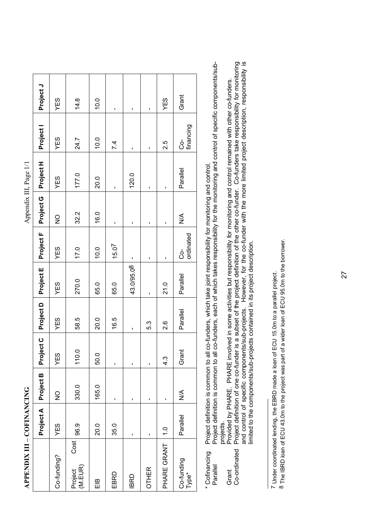<span id="page-29-2"></span><span id="page-29-1"></span>

| $\sim -1$                                     |
|-----------------------------------------------|
| ׇ֚֡֬                                          |
| $\frac{1}{2}$                                 |
|                                               |
| $\overline{A}$ ppendix                        |
| ֚֡<br>j                                       |
|                                               |
|                                               |
|                                               |
|                                               |
|                                               |
|                                               |
|                                               |
|                                               |
|                                               |
|                                               |
|                                               |
|                                               |
|                                               |
|                                               |
|                                               |
|                                               |
|                                               |
|                                               |
|                                               |
|                                               |
|                                               |
| $\overline{a}$                                |
|                                               |
|                                               |
|                                               |
|                                               |
| $C$ . The $C$ is a set of $C$ is a set of $C$ |
| Ï<br>Ī                                        |
|                                               |
| ı                                             |
|                                               |
|                                               |
| l                                             |
|                                               |

<span id="page-29-0"></span>

|                            |           |               |                  |               |            |                   | י<br>ד        | $\ddot{a}_{\cdot}$ |                   |           |
|----------------------------|-----------|---------------|------------------|---------------|------------|-------------------|---------------|--------------------|-------------------|-----------|
|                            | Project A | Project B     | Project C        | Project D     | Project E  | Project F         | Project G     | Project H          | Project I         | Project J |
| Co-funding?                | YES       | $\frac{1}{2}$ | YES              | YES           | YES        | YES               | $\frac{0}{2}$ | YES                | YES               | YES       |
| Cost<br>Project<br>(M.EUR) | 96.9      | 330.0         | 110.0            | 58.5          | 270.0      | 17.0              | 32.2          | 177.0              | 24.7              | 14.8      |
| ΕlΒ                        | 20.0      | 165.0         | 50.0             | 20.0          | 65.0       | 10.0              | 16.0          | 20.0               | 10.0              | 10.0      |
| EBRD                       | 35.0      | ı             | ı                | 16.5          | 65.0       | 15.0 <sup>7</sup> | ı.            | ٠                  | 7.4               | ٠         |
| <b>IBRD</b>                | ı         | ı             | ı                | ı             | 43.0/95.08 | $\blacksquare$    | ı             | 120.0              | ı                 | ı         |
| <b>OTHER</b>               | ı         | ı             | ı                | 5.3           | ı          | ı                 | ı             | ı                  | ٠                 | ı         |
| PHARE GRANT   1.0          |           |               | $4.\overline{3}$ | $\frac{8}{2}$ | 21.0       | ı                 | п             | ı                  | 2.5               | YES       |
| Co-funding<br>  Type*      | Parallel  | $\frac{1}{2}$ | Grant            | Parallel      | Parallel   | ordinated<br>င္ပံ | $\frac{1}{2}$ | Parallel           | financing<br>င္ပဲ | Grant     |
|                            |           |               |                  |               |            |                   |               |                    |                   |           |

\* Cofinancing Project definition is common to all co-funders, which take joint responsibility for monitoring and control. Project definition is common to all co-funders, which take joint responsibility for monitoring and control. \* Cofinancing

Project definition is common to all co-funders, each of which takes responsibility for the monitoring and control of specific components/sub-Parallel Project definition is common to all co-funders, each of which takes responsibility for the monitoring and control of specific components/subprojects.<br>Provided by PHARE. PHARE involved in some activities but responsibility for monitoring and control remained with other co-funders. Parallel Grant

Project definition of one co-funder is a subset of the project definition of the other co-funder. Co-funders take responsibility for monitoring<br>and control of specific components/sub-projects. However, for the co-funder wi Co-ordinated Project definition of one co-funder is a subset of the project definition of the other co-funder. Co-funders take responsibility for monitoring and control of specific components/sub-projects. However, for the co-funder with the more limited project description, responsibility is Grant Provided by PHARE. PHARE involved in some activities but responsibility for monitoring and control remained with other co-funders. imited to the components/sub-projects contained in its project description. limited to the components/sub-projects contained in its project description. Co-ordinated

7 Under coordinated lending, the EBRD made a loan of ECU 15.0m to a parallel project. 7 Under coordinated lending, the EBRD made a loan of ECU 15.0m to a parallel project.

8 The IBRD loan of ECU 43.0m to the project was part of a wider loan of ECU 95.0m to the borrower. 8 The IBRD loan of ECU 43.0m to the project was part of a wider loan of ECU 95.0m to the borrower.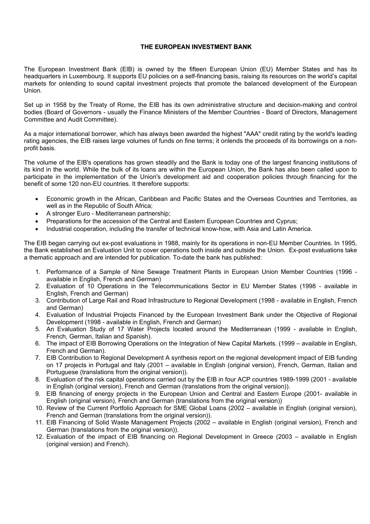#### **THE EUROPEAN INVESTMENT BANK**

The European Investment Bank (EIB) is owned by the fifteen European Union (EU) Member States and has its headquarters in Luxembourg. It supports EU policies on a self-financing basis, raising its resources on the world's capital markets for onlending to sound capital investment projects that promote the balanced development of the European Union.

Set up in 1958 by the Treaty of Rome, the EIB has its own administrative structure and decision-making and control bodies (Board of Governors - usually the Finance Ministers of the Member Countries - Board of Directors, Management Committee and Audit Committee).

As a major international borrower, which has always been awarded the highest "AAA" credit rating by the world's leading rating agencies, the EIB raises large volumes of funds on fine terms; it onlends the proceeds of its borrowings on a nonprofit basis.

The volume of the EIB's operations has grown steadily and the Bank is today one of the largest financing institutions of its kind in the world. While the bulk of its loans are within the European Union, the Bank has also been called upon to participate in the implementation of the Union's development aid and cooperation policies through financing for the benefit of some 120 non-EU countries. It therefore supports:

- Economic growth in the African, Caribbean and Pacific States and the Overseas Countries and Territories, as well as in the Republic of South Africa;
- A stronger Euro Mediterranean partnership;
- Preparations for the accession of the Central and Eastern European Countries and Cyprus;
- Industrial cooperation, including the transfer of technical know-how, with Asia and Latin America.

The EIB began carrying out ex-post evaluations in 1988, mainly for its operations in non-EU Member Countries. In 1995, the Bank established an Evaluation Unit to cover operations both inside and outside the Union. Ex-post evaluations take a thematic approach and are intended for publication. To-date the bank has published:

- 1. Performance of a Sample of Nine Sewage Treatment Plants in European Union Member Countries (1996 available in English, French and German)
- 2. Evaluation of 10 Operations in the Telecommunications Sector in EU Member States (1998 available in English, French and German)
- 3. Contribution of Large Rail and Road Infrastructure to Regional Development (1998 available in English, French and German)
- 4. Evaluation of Industrial Projects Financed by the European Investment Bank under the Objective of Regional Development (1998 - available in English, French and German)
- 5. An Evaluation Study of 17 Water Projects located around the Mediterranean (1999 available in English, French, German, Italian and Spanish).
- 6. The impact of EIB Borrowing Operations on the Integration of New Capital Markets. (1999 available in English, French and German).
- 7. EIB Contribution to Regional Development A synthesis report on the regional development impact of EIB funding on 17 projects in Portugal and Italy (2001 – available in English (original version), French, German, Italian and Portuguese (translations from the original version)).
- 8. Evaluation of the risk capital operations carried out by the EIB in four ACP countries 1989-1999 (2001 available in English (original version), French and German (translations from the original version)).
- 9. EIB financing of energy projects in the European Union and Central and Eastern Europe (2001- available in English (original version), French and German (translations from the original version))
- 10. Review of the Current Portfolio Approach for SME Global Loans (2002 available in English (original version), French and German (translations from the original version)).
- 11. EIB Financing of Solid Waste Management Projects (2002 available in English (original version), French and German (translations from the original version)).
- 12. Evaluation of the impact of EIB financing on Regional Development in Greece (2003 available in English (original version) and French).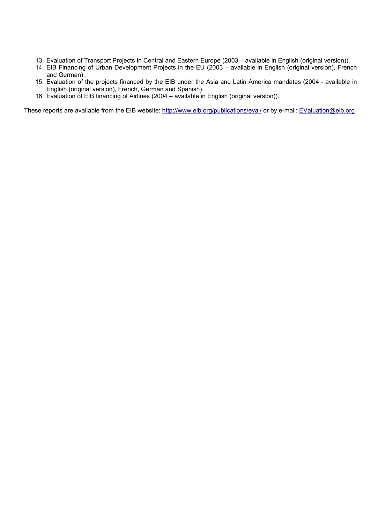- 13. Evaluation of Transport Projects in Central and Eastern Europe (2003 available in English (original version)).
- 14. EIB Financing of Urban Development Projects in the EU (2003 available in English (original version), French and German).
- 15. Evaluation of the projects financed by the EIB under the Asia and Latin America mandates (2004 available in English (original version), French, German and Spanish).
- 16. Evaluation of EIB financing of Airlines (2004 available in English (original version)).

These reports are available from the EIB website: <http://www.eib.org/publications/eval/>or by e-mail: [EValuation@eib.org](mailto:EValuation@eib.org)